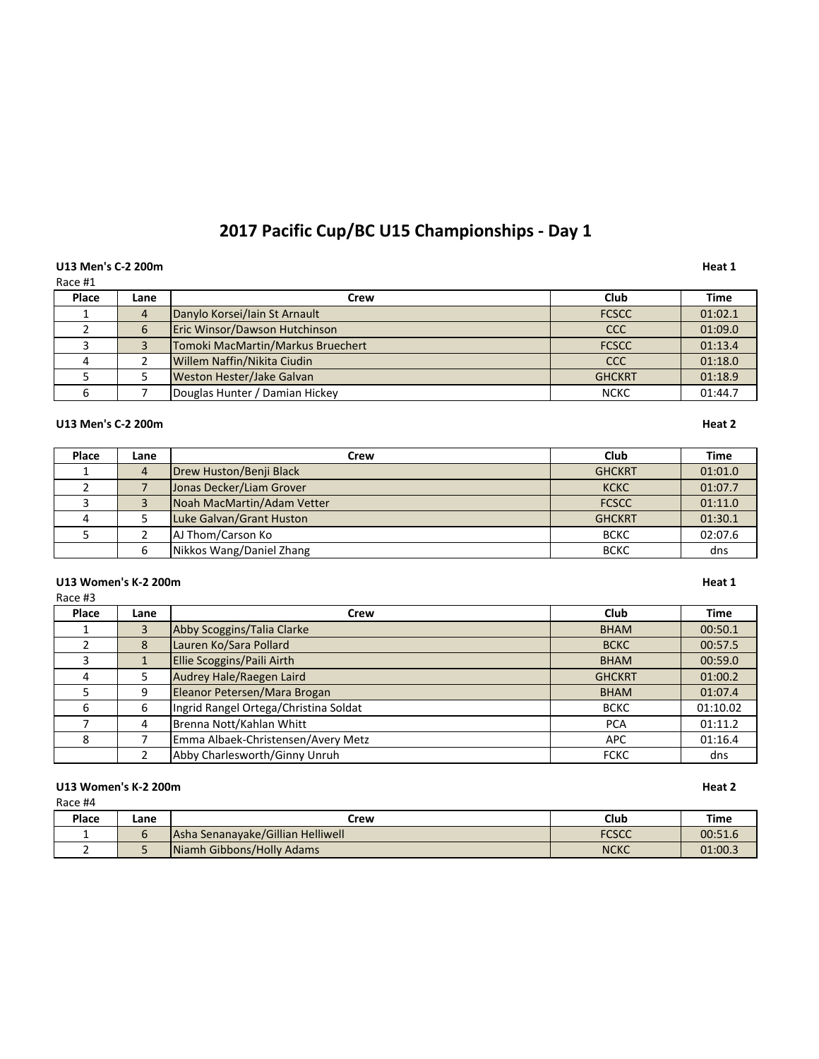# 2017 Pacific Cup/BC U15 Championships - Day 1

# U13 Men's C-2 200m **Heat 1**

| Race #1 |      |                                   |               |         |
|---------|------|-----------------------------------|---------------|---------|
| Place   | Lane | Crew                              | Club          | Time    |
|         | 4    | Danylo Korsei/Iain St Arnault     | <b>FCSCC</b>  | 01:02.1 |
|         | 6    | Eric Winsor/Dawson Hutchinson     | <b>CCC</b>    | 01:09.0 |
|         |      | Tomoki MacMartin/Markus Bruechert | <b>FCSCC</b>  | 01:13.4 |
|         |      | Willem Naffin/Nikita Ciudin       | CCC           | 01:18.0 |
|         |      | Weston Hester/Jake Galvan         | <b>GHCKRT</b> | 01:18.9 |
|         |      | Douglas Hunter / Damian Hickey    | <b>NCKC</b>   | 01:44.7 |

# **U13 Men's C-2 200m Heat 2**

| Place | Lane           | Crew                       | Club          | Time    |
|-------|----------------|----------------------------|---------------|---------|
|       | $\overline{4}$ | Drew Huston/Benji Black    | <b>GHCKRT</b> | 01:01.0 |
|       |                | Jonas Decker/Liam Grover   | <b>KCKC</b>   | 01:07.7 |
|       |                | Noah MacMartin/Adam Vetter | <b>FCSCC</b>  | 01:11.0 |
|       |                | Luke Galvan/Grant Huston   | <b>GHCKRT</b> | 01:30.1 |
|       |                | AJ Thom/Carson Ko          | <b>BCKC</b>   | 02:07.6 |
|       | 6              | Nikkos Wang/Daniel Zhang   | <b>BCKC</b>   | dns     |

# U13 Women's K-2 200m **Heat 1**

| . .<br>۰.<br>×<br>۰, | I |
|----------------------|---|
|----------------------|---|

| Place | Lane | Crew                                  | <b>Club</b>   | <b>Time</b> |
|-------|------|---------------------------------------|---------------|-------------|
|       | 3    | Abby Scoggins/Talia Clarke            | <b>BHAM</b>   | 00:50.1     |
|       | 8    | Lauren Ko/Sara Pollard                | <b>BCKC</b>   | 00:57.5     |
|       |      | Ellie Scoggins/Paili Airth            | <b>BHAM</b>   | 00:59.0     |
| 4     |      | Audrey Hale/Raegen Laird              | <b>GHCKRT</b> | 01:00.2     |
|       | 9    | Eleanor Petersen/Mara Brogan          | <b>BHAM</b>   | 01:07.4     |
| 6     | 6    | Ingrid Rangel Ortega/Christina Soldat | <b>BCKC</b>   | 01:10.02    |
|       | 4    | Brenna Nott/Kahlan Whitt              | <b>PCA</b>    | 01:11.2     |
| 8     |      | Emma Albaek-Christensen/Avery Metz    | <b>APC</b>    | 01:16.4     |
|       |      | Abby Charlesworth/Ginny Unruh         | <b>FCKC</b>   | dns         |

### **U13 Women's K-2 200m Heat 2**

| .     |      |                                          |              |             |
|-------|------|------------------------------------------|--------------|-------------|
| Place | Lane | Crew                                     | Club         | <b>Time</b> |
|       |      | <b>Asha Senanayake/Gillian Helliwell</b> | <b>FCSCC</b> | 00:51.6     |
|       |      | Niamh Gibbons/Holly Adams                | <b>NCKC</b>  | 01:00.3     |

|  | v<br>× | . .<br>. . | $\sim$ |  |
|--|--------|------------|--------|--|
|  |        |            |        |  |
|  |        |            |        |  |
|  |        |            |        |  |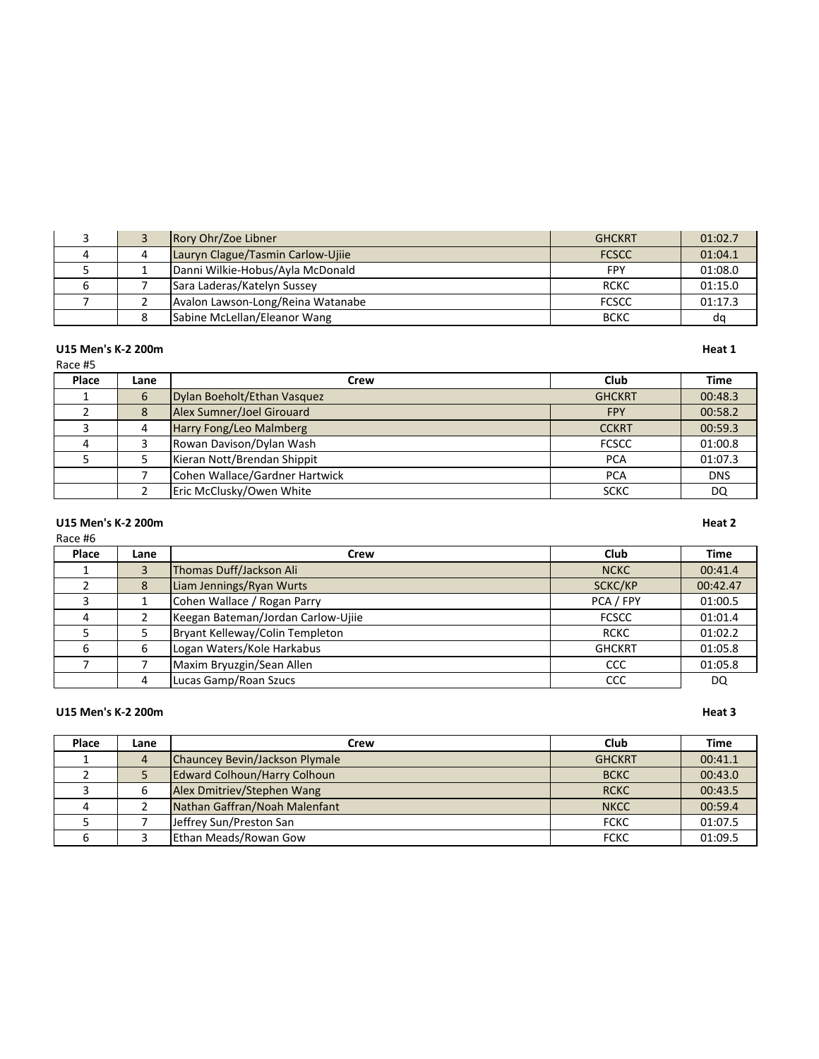|  | Rory Ohr/Zoe Libner               | <b>GHCKRT</b> | 01:02.7 |
|--|-----------------------------------|---------------|---------|
|  | Lauryn Clague/Tasmin Carlow-Ujiie | <b>FCSCC</b>  | 01:04.1 |
|  | Danni Wilkie-Hobus/Ayla McDonald  | <b>FPY</b>    | 01:08.0 |
|  | Sara Laderas/Katelyn Sussey       | <b>RCKC</b>   | 01:15.0 |
|  | Avalon Lawson-Long/Reina Watanabe | <b>FCSCC</b>  | 01:17.3 |
|  | Sabine McLellan/Eleanor Wang      | <b>BCKC</b>   | do      |

### **U15 Men's K-2 200m Heat 1**

# Race #5

**Place Lane Crew Club Time** 1 6 Dylan Boeholt/Ethan Vasquez GHCKRT 600:48.3<br>2 8 Alex Sumner/Joel Girouard FPY 00:58.2 2 8 Alex Sumner/Joel Girouard 3 4 Harry Fong/Leo Malmberg **CCKRT** 00:59.3 4 3 Rowan Davison/Dylan Wash FCSCC 1 01:00.8 5 | 5 | Kieran Nott/Brendan Shippit | PCA | 01:07.3 7 Cohen Wallace/Gardner Hartwick **PCA** PCA DNS 2 | Eric McClusky/Owen White **SCKC** DQ

# **U15 Men's K-2 200m Heat 2**

### Race #6

| Place | Lane | Crew                               | Club          | <b>Time</b> |
|-------|------|------------------------------------|---------------|-------------|
|       |      | Thomas Duff/Jackson Ali            | <b>NCKC</b>   | 00:41.4     |
|       | 8    | Liam Jennings/Ryan Wurts           | SCKC/KP       | 00:42.47    |
|       |      | Cohen Wallace / Rogan Parry        | PCA / FPY     | 01:00.5     |
| 4     |      | Keegan Bateman/Jordan Carlow-Ujiie | <b>FCSCC</b>  | 01:01.4     |
|       |      | Bryant Kelleway/Colin Templeton    | <b>RCKC</b>   | 01:02.2     |
| 6     | 6    | Logan Waters/Kole Harkabus         | <b>GHCKRT</b> | 01:05.8     |
|       |      | Maxim Bryuzgin/Sean Allen          | CCC           | 01:05.8     |
|       | 4    | Lucas Gamp/Roan Szucs              | CCC           | DQ          |

### **U15 Men's K-2 200m Heat 3**

| Place | Lane | Crew                                | Club          | <b>Time</b> |
|-------|------|-------------------------------------|---------------|-------------|
|       | 4    | Chauncey Bevin/Jackson Plymale      | <b>GHCKRT</b> | 00:41.1     |
|       |      | <b>Edward Colhoun/Harry Colhoun</b> | <b>BCKC</b>   | 00:43.0     |
|       |      | Alex Dmitriev/Stephen Wang          | <b>RCKC</b>   | 00:43.5     |
|       |      | Nathan Gaffran/Noah Malenfant       | <b>NKCC</b>   | 00:59.4     |
|       |      | Jeffrey Sun/Preston San             | <b>FCKC</b>   | 01:07.5     |
|       |      | Ethan Meads/Rowan Gow               | <b>FCKC</b>   | 01:09.5     |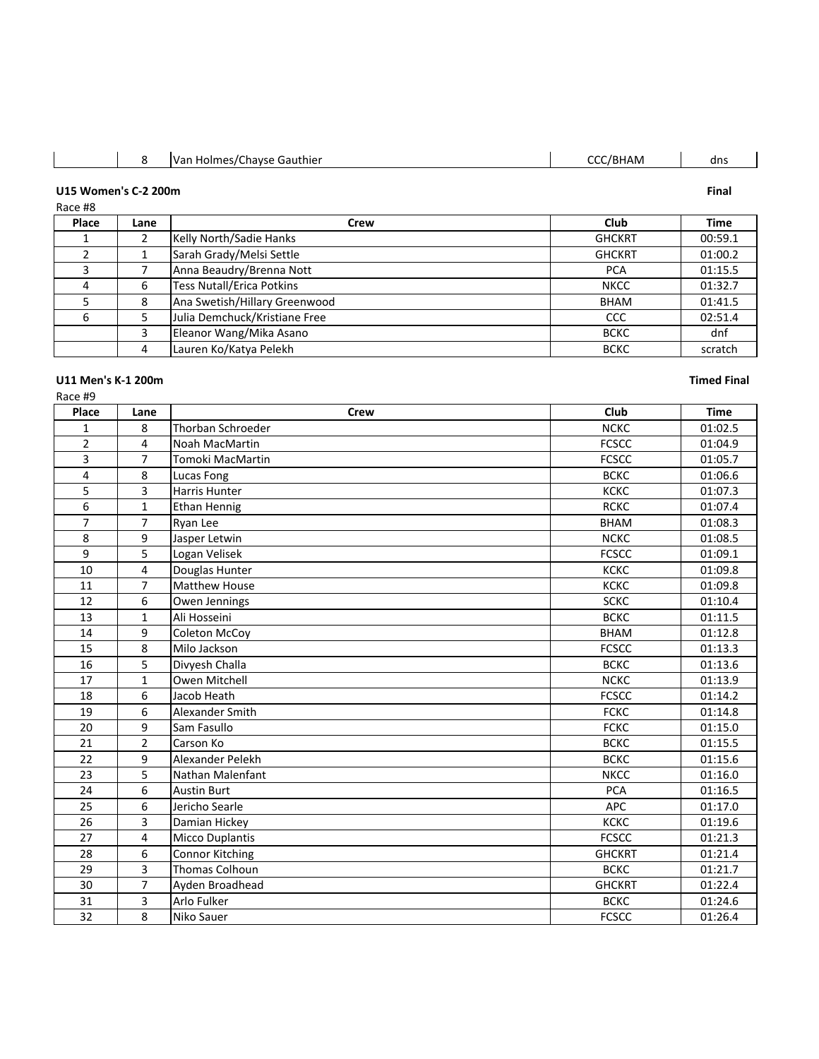| $\sim$<br>/BHAM<br>IVan<br>i Holmes/Chavse Gauthier<br>dns |  |  |  |  |  |
|------------------------------------------------------------|--|--|--|--|--|
|------------------------------------------------------------|--|--|--|--|--|

# **U15 Women's C-2 200m Final**

Race #8

| Place | Lane | Crew                             | Club          | <b>Time</b> |
|-------|------|----------------------------------|---------------|-------------|
|       |      | Kelly North/Sadie Hanks          | <b>GHCKRT</b> | 00:59.1     |
|       |      | Sarah Grady/Melsi Settle         | <b>GHCKRT</b> | 01:00.2     |
|       |      | Anna Beaudry/Brenna Nott         | <b>PCA</b>    | 01:15.5     |
| 4     | 6    | <b>Tess Nutall/Erica Potkins</b> | <b>NKCC</b>   | 01:32.7     |
|       | 8    | Ana Swetish/Hillary Greenwood    | <b>BHAM</b>   | 01:41.5     |
| 6     |      | Julia Demchuck/Kristiane Free    | <b>CCC</b>    | 02:51.4     |
|       | 3    | Eleanor Wang/Mika Asano          | <b>BCKC</b>   | dnf         |
|       | 4    | Lauren Ko/Katya Pelekh           | <b>BCKC</b>   | scratch     |

# **U11 Men's K-1 200m Timed Final**

| касе | #1 |
|------|----|
|------|----|

| Place          | Lane           | <b>Crew</b>            | Club          | <b>Time</b> |
|----------------|----------------|------------------------|---------------|-------------|
| $\mathbf{1}$   | 8              | Thorban Schroeder      | <b>NCKC</b>   | 01:02.5     |
| $\overline{2}$ | 4              | Noah MacMartin         | <b>FCSCC</b>  | 01:04.9     |
| 3              | $\overline{7}$ | Tomoki MacMartin       | <b>FCSCC</b>  | 01:05.7     |
| 4              | 8              | Lucas Fong             | <b>BCKC</b>   | 01:06.6     |
| 5              | 3              | Harris Hunter          | KCKC          | 01:07.3     |
| 6              | $\mathbf{1}$   | <b>Ethan Hennig</b>    | <b>RCKC</b>   | 01:07.4     |
| $\overline{7}$ | $\overline{7}$ | Ryan Lee               | <b>BHAM</b>   | 01:08.3     |
| 8              | 9              | Jasper Letwin          | <b>NCKC</b>   | 01:08.5     |
| $\overline{9}$ | $\overline{5}$ | Logan Velisek          | <b>FCSCC</b>  | 01:09.1     |
| 10             | 4              | Douglas Hunter         | <b>KCKC</b>   | 01:09.8     |
| 11             | $\overline{7}$ | <b>Matthew House</b>   | <b>KCKC</b>   | 01:09.8     |
| 12             | 6              | Owen Jennings          | <b>SCKC</b>   | 01:10.4     |
| 13             | $\mathbf{1}$   | Ali Hosseini           | <b>BCKC</b>   | 01:11.5     |
| 14             | 9              | Coleton McCoy          | <b>BHAM</b>   | 01:12.8     |
| 15             | 8              | Milo Jackson           | <b>FCSCC</b>  | 01:13.3     |
| 16             | 5              | Divyesh Challa         | <b>BCKC</b>   | 01:13.6     |
| 17             | $\mathbf{1}$   | Owen Mitchell          | <b>NCKC</b>   | 01:13.9     |
| 18             | 6              | Jacob Heath            | <b>FCSCC</b>  | 01:14.2     |
| 19             | 6              | Alexander Smith        | <b>FCKC</b>   | 01:14.8     |
| 20             | 9              | Sam Fasullo            | <b>FCKC</b>   | 01:15.0     |
| 21             | $\overline{2}$ | Carson Ko              | <b>BCKC</b>   | 01:15.5     |
| 22             | 9              | Alexander Pelekh       | <b>BCKC</b>   | 01:15.6     |
| 23             | 5              | Nathan Malenfant       | <b>NKCC</b>   | 01:16.0     |
| 24             | 6              | <b>Austin Burt</b>     | <b>PCA</b>    | 01:16.5     |
| 25             | 6              | Jericho Searle         | APC           | 01:17.0     |
| 26             | 3              | Damian Hickey          | КСКС          | 01:19.6     |
| 27             | $\overline{4}$ | <b>Micco Duplantis</b> | <b>FCSCC</b>  | 01:21.3     |
| 28             | 6              | Connor Kitching        | <b>GHCKRT</b> | 01:21.4     |
| 29             | 3              | Thomas Colhoun         | <b>BCKC</b>   | 01:21.7     |
| 30             | $\overline{7}$ | Ayden Broadhead        | <b>GHCKRT</b> | 01:22.4     |
| 31             | 3              | Arlo Fulker            | <b>BCKC</b>   | 01:24.6     |
| 32             | 8              | Niko Sauer             | <b>FCSCC</b>  | 01:26.4     |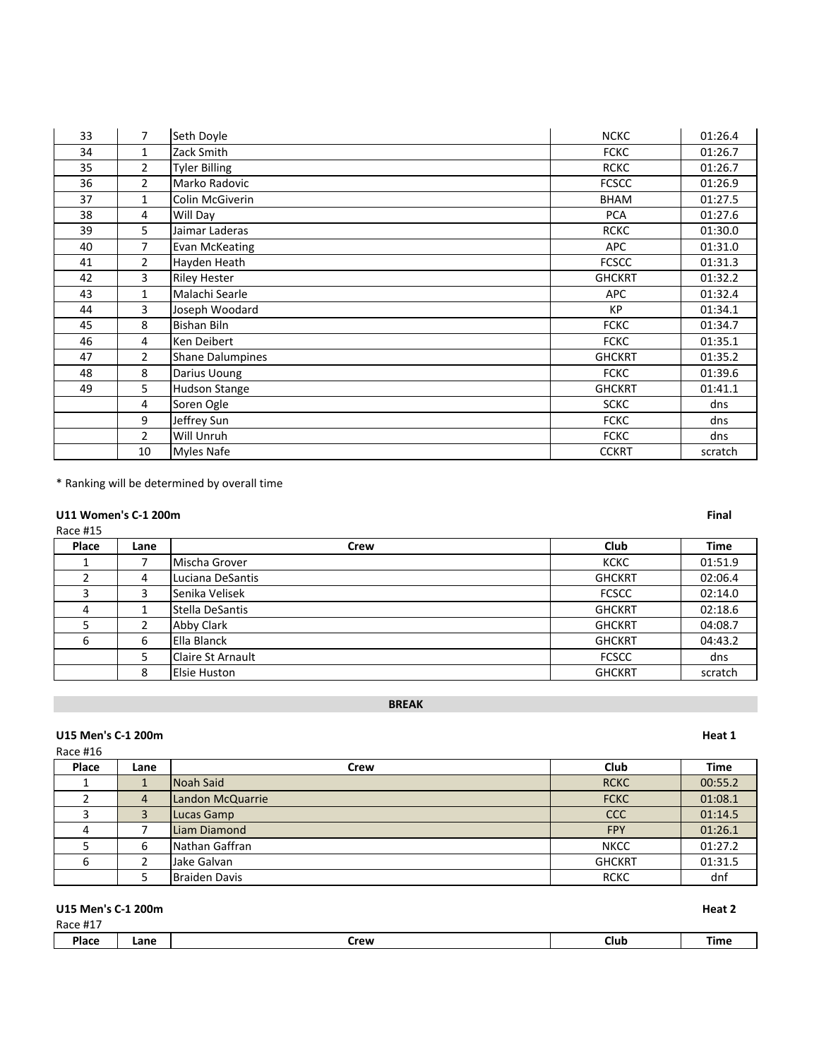| 33 | $\overline{7}$ | Seth Doyle              | <b>NCKC</b>   | 01:26.4 |
|----|----------------|-------------------------|---------------|---------|
| 34 | $\mathbf{1}$   | Zack Smith              | <b>FCKC</b>   | 01:26.7 |
| 35 | $\overline{2}$ | <b>Tyler Billing</b>    | <b>RCKC</b>   | 01:26.7 |
| 36 | $\overline{2}$ | Marko Radovic           | <b>FCSCC</b>  | 01:26.9 |
| 37 | $\mathbf{1}$   | Colin McGiverin         | <b>BHAM</b>   | 01:27.5 |
| 38 | 4              | Will Day                | <b>PCA</b>    | 01:27.6 |
| 39 | 5              | Jaimar Laderas          | <b>RCKC</b>   | 01:30.0 |
| 40 | $\overline{7}$ | Evan McKeating          | <b>APC</b>    | 01:31.0 |
| 41 | $\overline{2}$ | Hayden Heath            | <b>FCSCC</b>  | 01:31.3 |
| 42 | 3              | <b>Riley Hester</b>     | <b>GHCKRT</b> | 01:32.2 |
| 43 | $\mathbf{1}$   | Malachi Searle          | <b>APC</b>    | 01:32.4 |
| 44 | 3              | Joseph Woodard          | <b>KP</b>     | 01:34.1 |
| 45 | 8              | Bishan Biln             | <b>FCKC</b>   | 01:34.7 |
| 46 | 4              | Ken Deibert             | <b>FCKC</b>   | 01:35.1 |
| 47 | $\overline{2}$ | <b>Shane Dalumpines</b> | <b>GHCKRT</b> | 01:35.2 |
| 48 | 8              | Darius Uoung            | <b>FCKC</b>   | 01:39.6 |
| 49 | 5              | Hudson Stange           | <b>GHCKRT</b> | 01:41.1 |
|    | 4              | Soren Ogle              | <b>SCKC</b>   | dns     |
|    | 9              | Jeffrey Sun             | <b>FCKC</b>   | dns     |
|    | $\overline{2}$ | Will Unruh              | <b>FCKC</b>   | dns     |
|    | 10             | <b>Myles Nafe</b>       | <b>CCKRT</b>  | scratch |

\* Ranking will be determined by overall time

# **U11 Women's C-1 200m Final**

# Race #15

| Place | Lane         | Crew                     | <b>Club</b>   | <b>Time</b> |
|-------|--------------|--------------------------|---------------|-------------|
|       |              | lMischa Grover           | <b>KCKC</b>   | 01:51.9     |
|       | 4            | Luciana DeSantis         | <b>GHCKRT</b> | 02:06.4     |
|       | $\mathbf{r}$ | lSenika Velisek          | <b>FCSCC</b>  | 02:14.0     |
|       |              | Stella DeSantis          | <b>GHCKRT</b> | 02:18.6     |
|       |              | Abby Clark               | <b>GHCKRT</b> | 04:08.7     |
| 6     | 6            | l Ella Blanck            | <b>GHCKRT</b> | 04:43.2     |
|       |              | <b>Claire St Arnault</b> | <b>FCSCC</b>  | dns         |
|       | 8            | Elsie Huston             | <b>GHCKRT</b> | scratch     |

# **BREAK**

# U15 Men's C-1 200m **Heat 1**

# Race #16

| Place | Lane | Crew             | Club          | <b>Time</b> |
|-------|------|------------------|---------------|-------------|
|       |      | Noah Said        | <b>RCKC</b>   | 00:55.2     |
|       | 4    | Landon McQuarrie | <b>FCKC</b>   | 01:08.1     |
|       | 3    | Lucas Gamp       | <b>CCC</b>    | 01:14.5     |
|       |      | Liam Diamond     | <b>FPY</b>    | 01:26.1     |
|       | 6    | Nathan Gaffran   | <b>NKCC</b>   | 01:27.2     |
|       |      | lJake Galvan     | <b>GHCKRT</b> | 01:31.5     |
|       |      | Braiden Davis    | <b>RCKC</b>   | dnf         |

# **U15 Men's C-1 200m Heat 2** Race #17 **Place Lane Crew Club Time**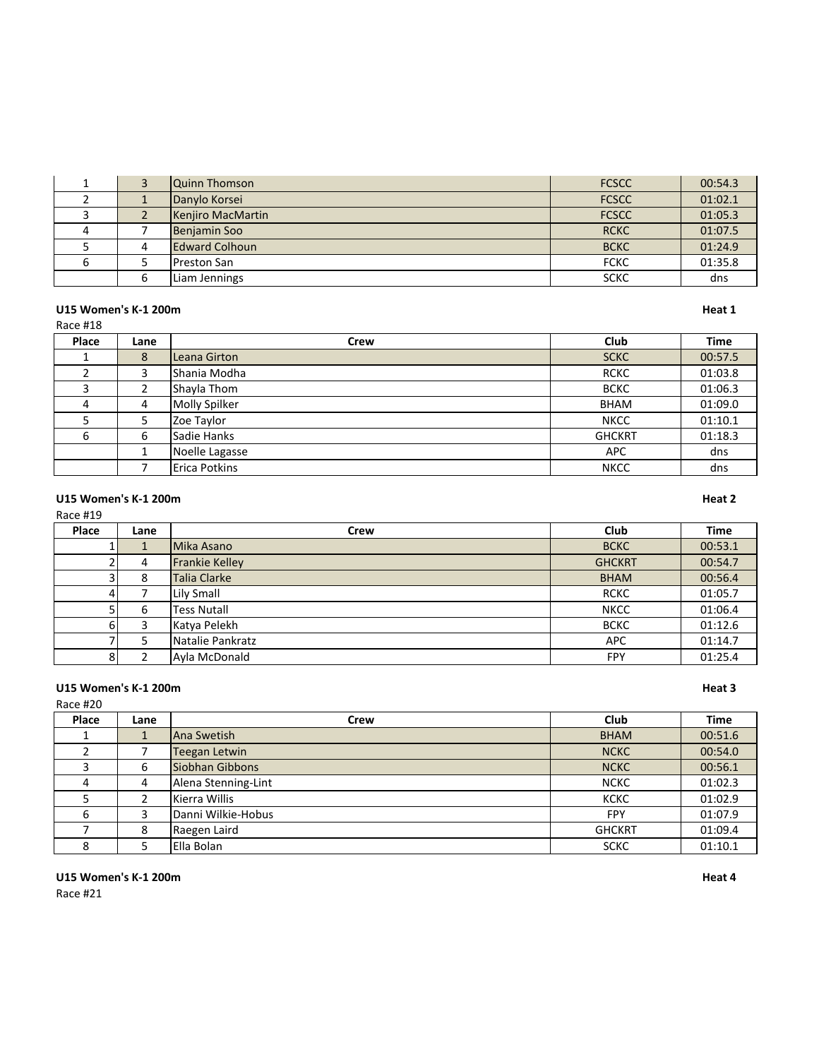|  | Quinn Thomson         | <b>FCSCC</b> | 00:54.3 |
|--|-----------------------|--------------|---------|
|  | Danylo Korsei         | <b>FCSCC</b> | 01:02.1 |
|  | Kenjiro MacMartin     | <b>FCSCC</b> | 01:05.3 |
|  | Benjamin Soo          | <b>RCKC</b>  | 01:07.5 |
|  | <b>Edward Colhoun</b> | <b>BCKC</b>  | 01:24.9 |
|  | Preston San           | <b>FCKC</b>  | 01:35.8 |
|  | Liam Jennings         | <b>SCKC</b>  | dns     |

# U15 Women's K-1 200m **Heat 1**

| Race #18 |      |                |               |             |
|----------|------|----------------|---------------|-------------|
| Place    | Lane | Crew           | Club          | <b>Time</b> |
|          | 8    | Leana Girton   | <b>SCKC</b>   | 00:57.5     |
|          | 3    | Shania Modha   | <b>RCKC</b>   | 01:03.8     |
|          | 2    | Shayla Thom    | <b>BCKC</b>   | 01:06.3     |
| 4        | 4    | Molly Spilker  | <b>BHAM</b>   | 01:09.0     |
|          | 5    | Zoe Taylor     | <b>NKCC</b>   | 01:10.1     |
| 6        | 6    | Sadie Hanks    | <b>GHCKRT</b> | 01:18.3     |
|          |      | Noelle Lagasse | <b>APC</b>    | dns         |
|          |      | Erica Potkins  | <b>NKCC</b>   | dns         |

# U15 Women's K-1 200m **Heat 2**

Race #19

| Place | Lane | Crew               | Club          | <b>Time</b> |
|-------|------|--------------------|---------------|-------------|
|       |      | Mika Asano         | <b>BCKC</b>   | 00:53.1     |
|       | 4    | Frankie Kelley     | <b>GHCKRT</b> | 00:54.7     |
|       | 8    | Talia Clarke       | <b>BHAM</b>   | 00:56.4     |
|       |      | <b>Lily Small</b>  | <b>RCKC</b>   | 01:05.7     |
|       | b    | <b>Tess Nutall</b> | <b>NKCC</b>   | 01:06.4     |
|       | 3    | Katya Pelekh       | <b>BCKC</b>   | 01:12.6     |
|       |      | Natalie Pankratz   | <b>APC</b>    | 01:14.7     |
| 8     |      | Ayla McDonald      | FPY           | 01:25.4     |

# U15 Women's K-1 200m **Heat 3**

| Race #20 |      |                     |               |             |
|----------|------|---------------------|---------------|-------------|
| Place    | Lane | Crew                | Club          | <b>Time</b> |
|          |      | lAna Swetish        | <b>BHAM</b>   | 00:51.6     |
|          |      | Teegan Letwin       | <b>NCKC</b>   | 00:54.0     |
|          | 6    | Siobhan Gibbons     | <b>NCKC</b>   | 00:56.1     |
| 4        | 4    | Alena Stenning-Lint | <b>NCKC</b>   | 01:02.3     |
|          |      | Kierra Willis       | <b>KCKC</b>   | 01:02.9     |
| 6        | 3    | Danni Wilkie-Hobus  | <b>FPY</b>    | 01:07.9     |
|          | 8    | Raegen Laird        | <b>GHCKRT</b> | 01:09.4     |
| 8        |      | Ella Bolan          | <b>SCKC</b>   | 01:10.1     |

Race #21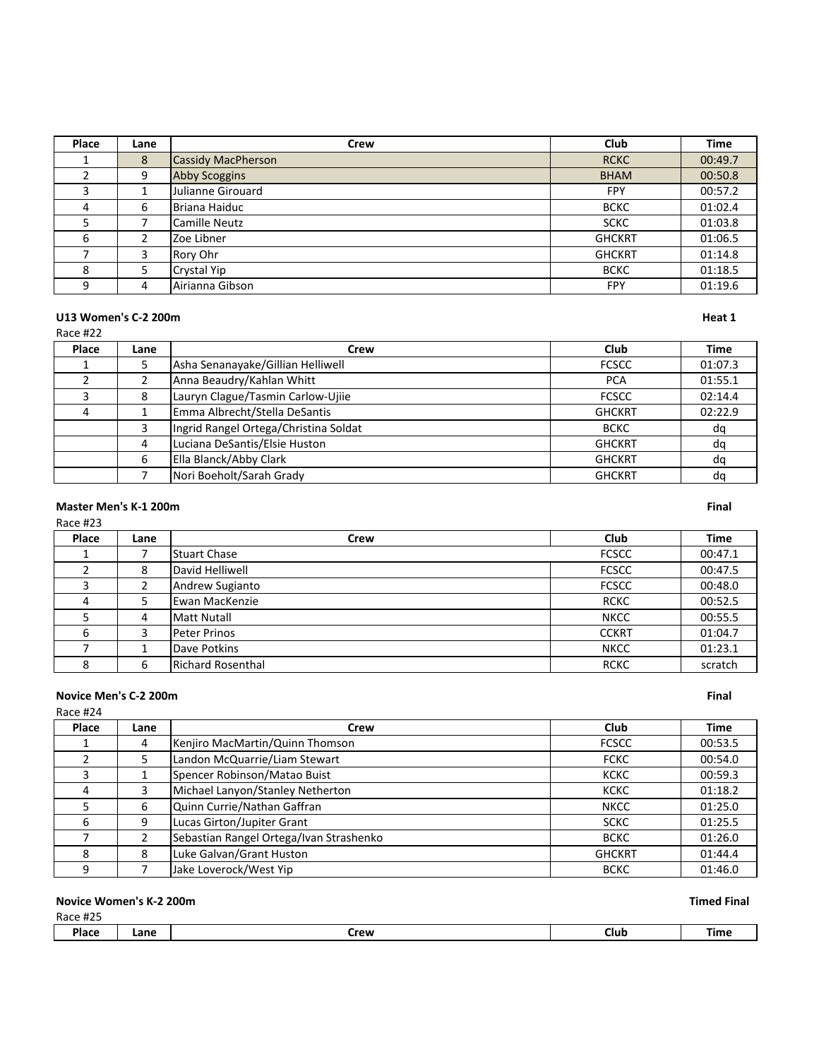| Place | Lane | Crew                      | Club          | <b>Time</b> |
|-------|------|---------------------------|---------------|-------------|
|       | 8    | <b>Cassidy MacPherson</b> | <b>RCKC</b>   | 00:49.7     |
|       | 9    | <b>Abby Scoggins</b>      | <b>BHAM</b>   | 00:50.8     |
| 3     |      | Julianne Girouard         | FPY           | 00:57.2     |
| 4     | 6    | <b>Briana Haiduc</b>      | <b>BCKC</b>   | 01:02.4     |
|       |      | Camille Neutz             | <b>SCKC</b>   | 01:03.8     |
| 6     |      | Zoe Libner                | <b>GHCKRT</b> | 01:06.5     |
|       | 3    | Rory Ohr                  | <b>GHCKRT</b> | 01:14.8     |
| 8     |      | Crystal Yip               | <b>BCKC</b>   | 01:18.5     |
| 9     | 4    | Airianna Gibson           | <b>FPY</b>    | 01:19.6     |

### **U13 Women's C-2 200m Heat 1** Race #22

**Place Lane Crew Club Time** 1 | 5 |Asha Senanayake/Gillian Helliwell **FCSCC** | 01:07.3 2 | 2 | Anna Beaudry/Kahlan Whitt **PCA** | 01:55.1 3 8 Lauryn Clague/Tasmin Carlow-Ujiie FCSCC 1 02:14.4 4 | 1 Emma Albrecht/Stella DeSantis | GHCKRT | 02:22.9 3 |Ingrid Rangel Ortega/Christina Soldat do BCKC dq 4 Luciana DeSantis/Elsie Huston GHCKRT dq 6 Ella Blanck/Abby Clark GHCKRT dq

7 Nori Boeholt/Sarah Grady GHCKRT dq

# **Master Men's K-1 200m Final**

**Place Lane Crew Club Time** 1 7 Stuart Chase FCSCC 20:47.1 2 8 David Helliwell **ECSCC** 8 00:47.5 3 2 Andrew Sugianto **FCSCC** 00:48.0 4 | 5 Ewan MacKenzie RCKC | 00:52.5 5 4 |Matt Nutall Nutall NKCC | 00:55.5 6 3 Peter Prinos CCKRT 01:04.7 7 | 1 |Dave Potkins NKCC | 01:23.1 8 6 Richard Rosenthal RCKC scratch

### **Novice Men's C-2 200m Final**

# Race #24 **Place Lane Crew Club Time** 1 4 Kenjiro MacMartin/Quinn Thomson FCSCC 1 00:53.5 2 | 5 |Landon McQuarrie/Liam Stewart **FCKC** | 00:54.0 3 1 Spencer Robinson/Matao Buist KCKC 60:59.3 4 3 Michael Lanyon/Stanley Netherton **And Constanting Constanting Constanting Constanting Constanting Constanting Constanting Constanting Constanting O1:18.2** 5 6 Quinn Currie/Nathan Gaffran 1988 1998 1999 101:25.0 6 9 Lucas Girton/Jupiter Grant SCKC 1 01:25.5 7 2 Sebastian Rangel Ortega/Ivan Strashenko BCKC BCKC 01:26.0 8 8 Luke Galvan/Grant Huston General Communication CHCKRT 1 01:44.4 9 7 Jake Loverock/West Yip BCKC 01:46.0

### **Novice Women's K-2 200m Timed Final**

|              | Lane |                 |      |      |
|--------------|------|-----------------|------|------|
| <b>Place</b> | ____ | Crew<br>_______ | Club | Time |

# Race #23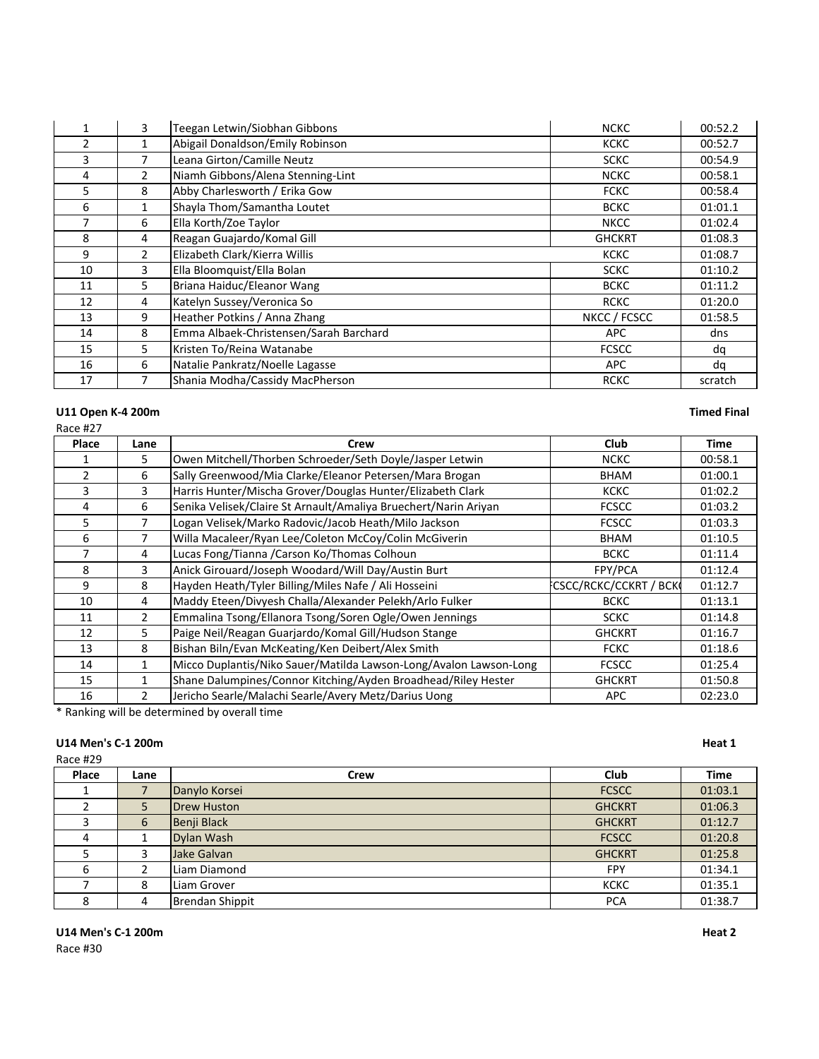|                | 3              | Teegan Letwin/Siobhan Gibbons          | <b>NCKC</b>   | 00:52.2 |
|----------------|----------------|----------------------------------------|---------------|---------|
| $\overline{2}$ | 1              | Abigail Donaldson/Emily Robinson       | <b>KCKC</b>   | 00:52.7 |
| 3              | 7              | Leana Girton/Camille Neutz             | <b>SCKC</b>   | 00:54.9 |
| 4              | $\overline{2}$ | Niamh Gibbons/Alena Stenning-Lint      | <b>NCKC</b>   | 00:58.1 |
| 5              | 8              | Abby Charlesworth / Erika Gow          | <b>FCKC</b>   | 00:58.4 |
| 6              | 1              | Shayla Thom/Samantha Loutet            | <b>BCKC</b>   | 01:01.1 |
| 7              | 6              | Ella Korth/Zoe Taylor                  | <b>NKCC</b>   | 01:02.4 |
| 8              | 4              | Reagan Guajardo/Komal Gill             | <b>GHCKRT</b> | 01:08.3 |
| 9              | $\overline{2}$ | Elizabeth Clark/Kierra Willis          | <b>KCKC</b>   | 01:08.7 |
| 10             | 3              | Ella Bloomquist/Ella Bolan             | <b>SCKC</b>   | 01:10.2 |
| 11             | 5              | Briana Haiduc/Eleanor Wang             | <b>BCKC</b>   | 01:11.2 |
| 12             | 4              | Katelyn Sussey/Veronica So             | <b>RCKC</b>   | 01:20.0 |
| 13             | 9              | Heather Potkins / Anna Zhang           | NKCC / FCSCC  | 01:58.5 |
| 14             | 8              | Emma Albaek-Christensen/Sarah Barchard | APC           | dns     |
| 15             | 5              | Kristen To/Reina Watanabe              | <b>FCSCC</b>  | dq      |
| 16             | 6              | Natalie Pankratz/Noelle Lagasse        | APC           | dq      |
| 17             |                | Shania Modha/Cassidy MacPherson        | <b>RCKC</b>   | scratch |

# U11 Open K-4 200m **Timed Final**

| GA C<br>P |  |
|-----------|--|
|-----------|--|

| 14 HZ / |      |                                                                   |                              |             |
|---------|------|-------------------------------------------------------------------|------------------------------|-------------|
| Place   | Lane | Crew                                                              | <b>Club</b>                  | <b>Time</b> |
|         | 5    | Owen Mitchell/Thorben Schroeder/Seth Doyle/Jasper Letwin          | <b>NCKC</b>                  | 00:58.1     |
| 2       | 6    | Sally Greenwood/Mia Clarke/Eleanor Petersen/Mara Brogan           | <b>BHAM</b>                  | 01:00.1     |
| 3       | 3    | Harris Hunter/Mischa Grover/Douglas Hunter/Elizabeth Clark        | <b>KCKC</b>                  | 01:02.2     |
| 4       | 6    | Senika Velisek/Claire St Arnault/Amaliya Bruechert/Narin Ariyan   | <b>FCSCC</b>                 | 01:03.2     |
| 5       |      | Logan Velisek/Marko Radovic/Jacob Heath/Milo Jackson              | <b>FCSCC</b>                 | 01:03.3     |
| 6       |      | Willa Macaleer/Ryan Lee/Coleton McCoy/Colin McGiverin             | <b>BHAM</b>                  | 01:10.5     |
|         | 4    | Lucas Fong/Tianna /Carson Ko/Thomas Colhoun                       | <b>BCKC</b>                  | 01:11.4     |
| 8       | 3    | Anick Girouard/Joseph Woodard/Will Day/Austin Burt                | FPY/PCA                      | 01:12.4     |
| 9       | 8    | Hayden Heath/Tyler Billing/Miles Nafe / Ali Hosseini              | <b>CSCC/RCKC/CCKRT / BCK</b> | 01:12.7     |
| 10      | 4    | Maddy Eteen/Divyesh Challa/Alexander Pelekh/Arlo Fulker           | <b>BCKC</b>                  | 01:13.1     |
| 11      | 2    | Emmalina Tsong/Ellanora Tsong/Soren Ogle/Owen Jennings            | <b>SCKC</b>                  | 01:14.8     |
| 12      | 5.   | Paige Neil/Reagan Guarjardo/Komal Gill/Hudson Stange              | <b>GHCKRT</b>                | 01:16.7     |
| 13      | 8    | Bishan Biln/Evan McKeating/Ken Deibert/Alex Smith                 | <b>FCKC</b>                  | 01:18.6     |
| 14      |      | Micco Duplantis/Niko Sauer/Matilda Lawson-Long/Avalon Lawson-Long | <b>FCSCC</b>                 | 01:25.4     |
| 15      |      | Shane Dalumpines/Connor Kitching/Ayden Broadhead/Riley Hester     | <b>GHCKRT</b>                | 01:50.8     |
| 16      | 2    | Jericho Searle/Malachi Searle/Avery Metz/Darius Uong              | <b>APC</b>                   | 02:23.0     |
|         |      |                                                                   |                              |             |

\* Ranking will be determined by overall time

# **U14 Men's C-1 200m Heat 1**

Race #29

| Place | Lane | Crew                   | Club          | <b>Time</b> |  |
|-------|------|------------------------|---------------|-------------|--|
|       |      | Danylo Korsei          | <b>FCSCC</b>  | 01:03.1     |  |
|       | 5    | <b>Drew Huston</b>     | <b>GHCKRT</b> | 01:06.3     |  |
|       | 6    | Benji Black            | <b>GHCKRT</b> | 01:12.7     |  |
| 4     |      | Dylan Wash             | <b>FCSCC</b>  | 01:20.8     |  |
|       | 3    | Jake Galvan            | <b>GHCKRT</b> | 01:25.8     |  |
| 6     |      | Liam Diamond           | <b>FPY</b>    | 01:34.1     |  |
|       | 8    | Liam Grover            | <b>KCKC</b>   | 01:35.1     |  |
| 8     | 4    | <b>Brendan Shippit</b> | <b>PCA</b>    | 01:38.7     |  |

**U14 Men's C-1 200m Heat 2**

Race #30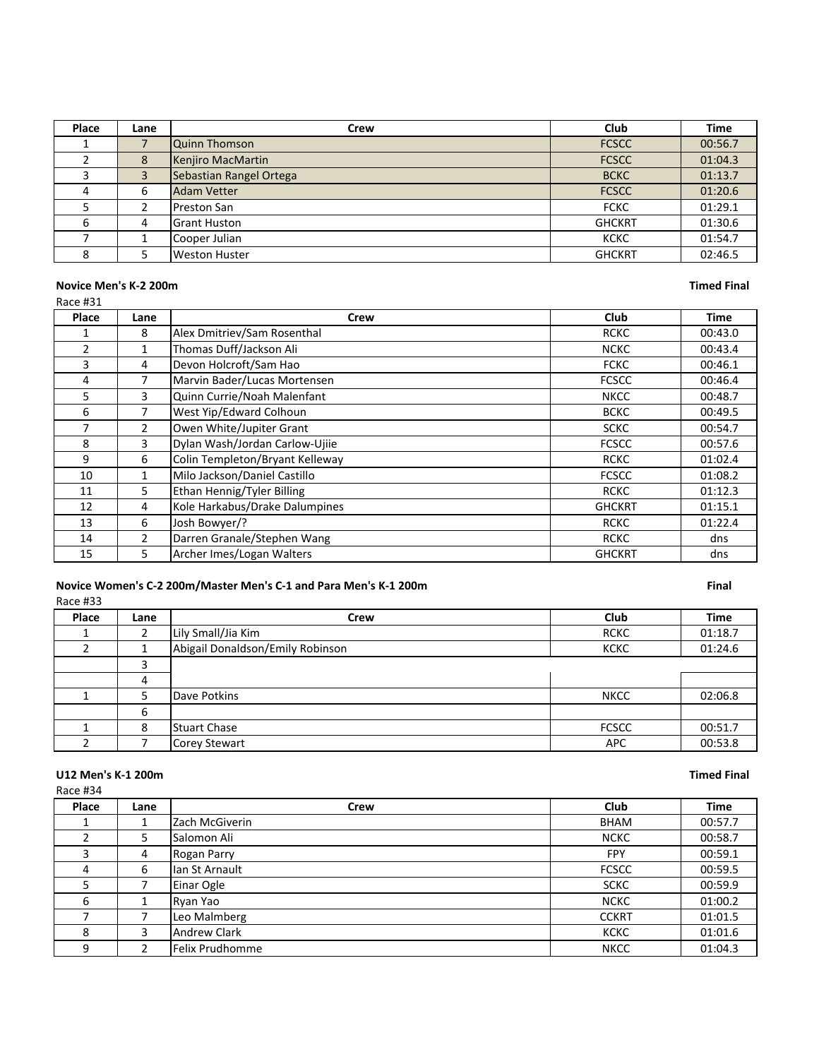| Place | Lane | Crew                    | Club          | <b>Time</b> |
|-------|------|-------------------------|---------------|-------------|
|       |      | Quinn Thomson           | <b>FCSCC</b>  | 00:56.7     |
|       | 8    | Kenjiro MacMartin       | <b>FCSCC</b>  | 01:04.3     |
|       | 3    | Sebastian Rangel Ortega | <b>BCKC</b>   | 01:13.7     |
| 4     | 6    | <b>Adam Vetter</b>      | <b>FCSCC</b>  | 01:20.6     |
|       |      | Preston San             | <b>FCKC</b>   | 01:29.1     |
| 6     | 4    | <b>Grant Huston</b>     | <b>GHCKRT</b> | 01:30.6     |
|       |      | Cooper Julian           | <b>KCKC</b>   | 01:54.7     |
|       |      | Weston Huster           | <b>GHCKRT</b> | 02:46.5     |

### **Novice Men's K-2 200m Timed Final**

| Race #31       |                |                                 |               |         |
|----------------|----------------|---------------------------------|---------------|---------|
| Place          | Lane           | Crew                            | Club          | Time    |
|                | 8              | Alex Dmitriev/Sam Rosenthal     | <b>RCKC</b>   | 00:43.0 |
| $\overline{2}$ | 1              | Thomas Duff/Jackson Ali         | <b>NCKC</b>   | 00:43.4 |
| 3              | 4              | Devon Holcroft/Sam Hao          | <b>FCKC</b>   | 00:46.1 |
| 4              | 7              | Marvin Bader/Lucas Mortensen    | <b>FCSCC</b>  | 00:46.4 |
| 5              | 3              | Quinn Currie/Noah Malenfant     | <b>NKCC</b>   | 00:48.7 |
| 6              | 7              | West Yip/Edward Colhoun         | <b>BCKC</b>   | 00:49.5 |
| 7              | $\overline{2}$ | Owen White/Jupiter Grant        | <b>SCKC</b>   | 00:54.7 |
| 8              | 3              | Dylan Wash/Jordan Carlow-Ujiie  | <b>FCSCC</b>  | 00:57.6 |
| 9              | 6              | Colin Templeton/Bryant Kelleway | <b>RCKC</b>   | 01:02.4 |
| 10             | $\mathbf{1}$   | Milo Jackson/Daniel Castillo    | <b>FCSCC</b>  | 01:08.2 |
| 11             | 5              | Ethan Hennig/Tyler Billing      | <b>RCKC</b>   | 01:12.3 |
| 12             | 4              | Kole Harkabus/Drake Dalumpines  | <b>GHCKRT</b> | 01:15.1 |
| 13             | 6              | Josh Bowyer/?                   | <b>RCKC</b>   | 01:22.4 |
| 14             | $\overline{2}$ | Darren Granale/Stephen Wang     | <b>RCKC</b>   | dns     |
| 15             | 5.             | Archer Imes/Logan Walters       | <b>GHCKRT</b> | dns     |

# Novice Women's C-2 200m/Master Men's C-1 and Para Men's K-1 200m **Final**

| Race #33 |      |                                  |              |             |
|----------|------|----------------------------------|--------------|-------------|
| Place    | Lane | Crew                             | Club         | <b>Time</b> |
|          | 2    | Lily Small/Jia Kim               | <b>RCKC</b>  | 01:18.7     |
|          |      | Abigail Donaldson/Emily Robinson | <b>KCKC</b>  | 01:24.6     |
|          | 3    |                                  |              |             |
|          | 4    |                                  |              |             |
|          | 5    | Dave Potkins                     | <b>NKCC</b>  | 02:06.8     |
|          | 6    |                                  |              |             |
|          | 8    | Stuart Chase                     | <b>FCSCC</b> | 00:51.7     |
|          |      | Corey Stewart                    | <b>APC</b>   | 00:53.8     |

# U12 Men's K-1 200m **Timed Final**

| Race #34 |      |                 |              |             |
|----------|------|-----------------|--------------|-------------|
| Place    | Lane | Crew            | Club         | <b>Time</b> |
|          |      | IZach McGiverin | BHAM         | 00:57.7     |
|          | 5    | Salomon Ali     | <b>NCKC</b>  | 00:58.7     |
| 3        | 4    | Rogan Parry     | <b>FPY</b>   | 00:59.1     |
| 4        | 6    | llan St Arnault | <b>FCSCC</b> | 00:59.5     |
| 5        |      | Einar Ogle      | <b>SCKC</b>  | 00:59.9     |
| 6        |      | Ryan Yao        | <b>NCKC</b>  | 01:00.2     |
|          |      | Leo Malmberg    | <b>CCKRT</b> | 01:01.5     |
| 8        | 3    | Andrew Clark    | <b>KCKC</b>  | 01:01.6     |
| 9        |      | Felix Prudhomme | <b>NKCC</b>  | 01:04.3     |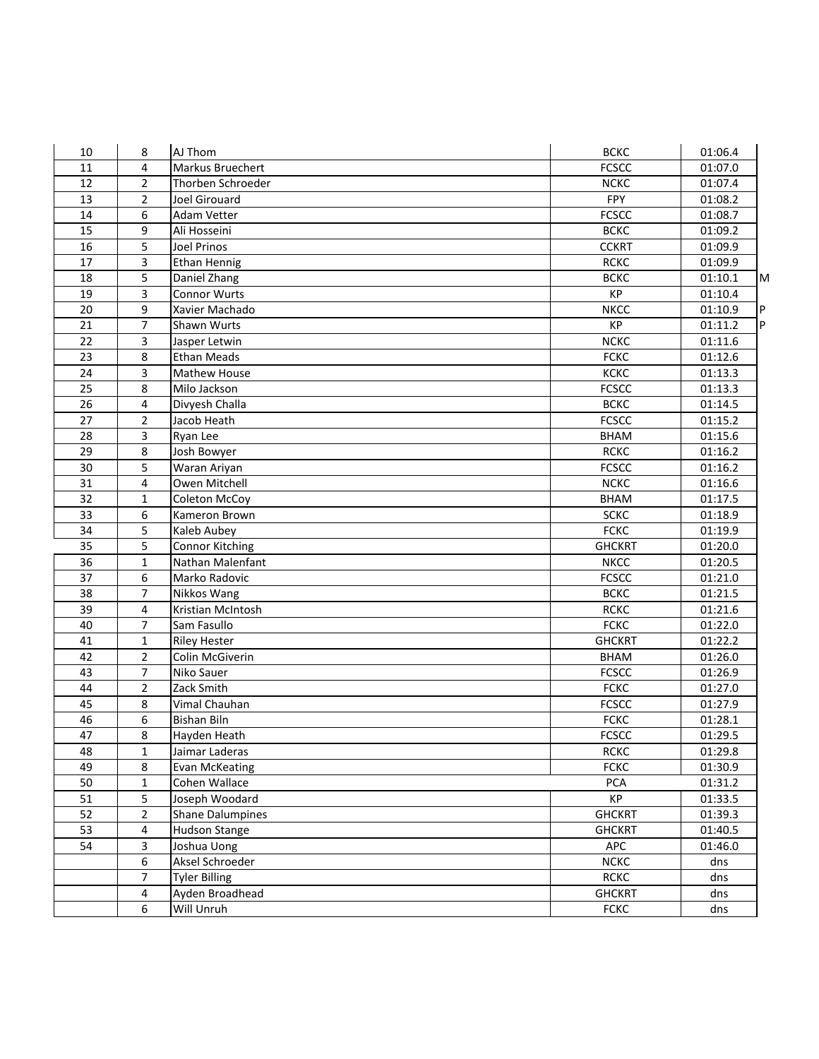| 10              | 8              | AJ Thom                | <b>BCKC</b>   | 01:06.4 |    |
|-----------------|----------------|------------------------|---------------|---------|----|
| 11              | 4              | Markus Bruechert       | <b>FCSCC</b>  | 01:07.0 |    |
| 12              | $\overline{2}$ | Thorben Schroeder      | <b>NCKC</b>   | 01:07.4 |    |
| 13              | $\overline{2}$ | <b>Joel Girouard</b>   | FPY           | 01:08.2 |    |
| 14              | 6              | Adam Vetter            | <b>FCSCC</b>  | 01:08.7 |    |
| 15              | 9              | Ali Hosseini           | <b>BCKC</b>   | 01:09.2 |    |
| 16              | 5              | Joel Prinos            | <b>CCKRT</b>  | 01:09.9 |    |
| 17              | 3              | Ethan Hennig           | <b>RCKC</b>   | 01:09.9 |    |
| 18              | 5              | Daniel Zhang           | <b>BCKC</b>   | 01:10.1 | M  |
| 19              | 3              | <b>Connor Wurts</b>    | KP            | 01:10.4 |    |
| 20              | 9              | Xavier Machado         | <b>NKCC</b>   | 01:10.9 | P  |
| 21              | $\overline{7}$ | Shawn Wurts            | KP            | 01:11.2 | P. |
| 22              | 3              | Jasper Letwin          | <b>NCKC</b>   | 01:11.6 |    |
| 23              | 8              | <b>Ethan Meads</b>     | <b>FCKC</b>   | 01:12.6 |    |
| 24              | 3              | Mathew House           | КСКС          | 01:13.3 |    |
| 25              | 8              | Milo Jackson           | <b>FCSCC</b>  | 01:13.3 |    |
| 26              | 4              | Divyesh Challa         | <b>BCKC</b>   | 01:14.5 |    |
| 27              | $\overline{2}$ | Jacob Heath            | <b>FCSCC</b>  | 01:15.2 |    |
| 28              | 3              | Ryan Lee               | <b>BHAM</b>   | 01:15.6 |    |
| 29              | 8              | Josh Bowyer            | <b>RCKC</b>   | 01:16.2 |    |
| 30              | 5              | Waran Ariyan           | <b>FCSCC</b>  | 01:16.2 |    |
| 31              | 4              | Owen Mitchell          | <b>NCKC</b>   | 01:16.6 |    |
| $\overline{32}$ | 1              | Coleton McCoy          | <b>BHAM</b>   | 01:17.5 |    |
| 33              | 6              | Kameron Brown          | <b>SCKC</b>   | 01:18.9 |    |
| 34              | 5              | Kaleb Aubey            | <b>FCKC</b>   | 01:19.9 |    |
| 35              | 5              | <b>Connor Kitching</b> | <b>GHCKRT</b> | 01:20.0 |    |
| 36              | $\mathbf{1}$   | Nathan Malenfant       | <b>NKCC</b>   | 01:20.5 |    |
| 37              | 6              | Marko Radovic          | <b>FCSCC</b>  | 01:21.0 |    |
| 38              | $\overline{7}$ | Nikkos Wang            | <b>BCKC</b>   | 01:21.5 |    |
| 39              | 4              | Kristian McIntosh      | <b>RCKC</b>   | 01:21.6 |    |
| 40              | $\overline{7}$ | Sam Fasullo            | <b>FCKC</b>   | 01:22.0 |    |
| 41              | 1              | <b>Riley Hester</b>    | <b>GHCKRT</b> | 01:22.2 |    |
| 42              | $\overline{2}$ | Colin McGiverin        | <b>BHAM</b>   | 01:26.0 |    |
| 43              | $\overline{7}$ | Niko Sauer             | <b>FCSCC</b>  | 01:26.9 |    |
| 44              | $\overline{2}$ | Zack Smith             | <b>FCKC</b>   | 01:27.0 |    |
| 45              | 8              | Vimal Chauhan          | <b>FCSCC</b>  | 01:27.9 |    |
| 46              | 6              | <b>Bishan Biln</b>     | <b>FCKC</b>   | 01:28.1 |    |
| 47              | 8              | Hayden Heath           | <b>FCSCC</b>  | 01:29.5 |    |
| 48              | 1              | Jaimar Laderas         | <b>RCKC</b>   | 01:29.8 |    |
| 49              | 8              | <b>Evan McKeating</b>  | <b>FCKC</b>   | 01:30.9 |    |
| 50              | 1              | Cohen Wallace          | PCA           | 01:31.2 |    |
| 51              | 5              | Joseph Woodard         | KP            | 01:33.5 |    |
| 52              | $\overline{2}$ | Shane Dalumpines       | <b>GHCKRT</b> | 01:39.3 |    |
| 53              | 4              | Hudson Stange          | <b>GHCKRT</b> | 01:40.5 |    |
| 54              | 3              | Joshua Uong            | <b>APC</b>    | 01:46.0 |    |
|                 | 6              | Aksel Schroeder        | <b>NCKC</b>   | dns     |    |
|                 | 7              | <b>Tyler Billing</b>   | <b>RCKC</b>   | dns     |    |
|                 | 4              | Ayden Broadhead        | <b>GHCKRT</b> | dns     |    |
|                 | 6              | Will Unruh             | <b>FCKC</b>   | dns     |    |
|                 |                |                        |               |         |    |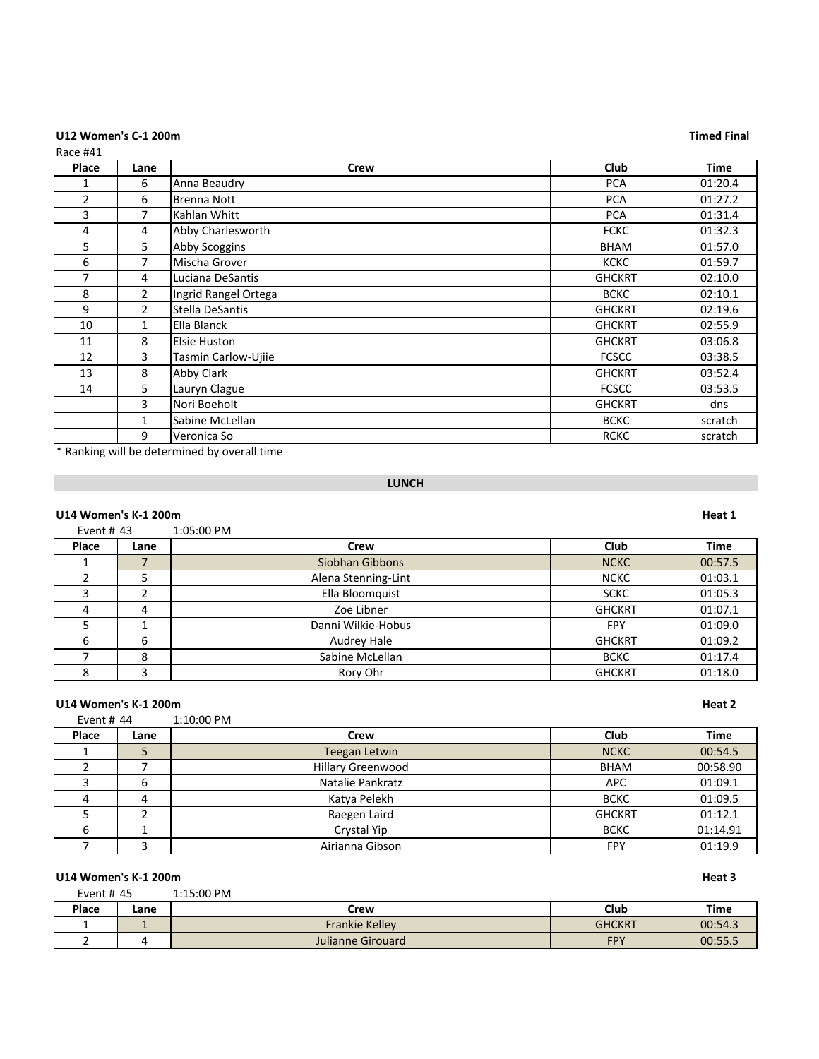# U12 Women's C-1 200m **Timed Final**

| Race #41       |                |                      |               |             |
|----------------|----------------|----------------------|---------------|-------------|
| Place          | Lane           | <b>Crew</b>          | <b>Club</b>   | <b>Time</b> |
| 1              | 6              | Anna Beaudry         | <b>PCA</b>    | 01:20.4     |
| $\overline{2}$ | 6              | <b>Brenna Nott</b>   | <b>PCA</b>    | 01:27.2     |
| 3              | $\overline{7}$ | Kahlan Whitt         | <b>PCA</b>    | 01:31.4     |
| 4              | 4              | Abby Charlesworth    | <b>FCKC</b>   | 01:32.3     |
| 5              | 5              | Abby Scoggins        | <b>BHAM</b>   | 01:57.0     |
| 6              | $\overline{7}$ | Mischa Grover        | <b>KCKC</b>   | 01:59.7     |
| 7              | 4              | Luciana DeSantis     | <b>GHCKRT</b> | 02:10.0     |
| 8              | $\overline{2}$ | Ingrid Rangel Ortega | <b>BCKC</b>   | 02:10.1     |
| 9              | $\overline{2}$ | Stella DeSantis      | <b>GHCKRT</b> | 02:19.6     |
| 10             | 1              | Ella Blanck          | <b>GHCKRT</b> | 02:55.9     |
| 11             | 8              | Elsie Huston         | <b>GHCKRT</b> | 03:06.8     |
| 12             | 3              | Tasmin Carlow-Ujiie  | <b>FCSCC</b>  | 03:38.5     |
| 13             | 8              | Abby Clark           | <b>GHCKRT</b> | 03:52.4     |
| 14             | 5              | Lauryn Clague        | <b>FCSCC</b>  | 03:53.5     |
|                | 3              | Nori Boeholt         | <b>GHCKRT</b> | dns         |
|                | $\mathbf{1}$   | Sabine McLellan      | <b>BCKC</b>   | scratch     |
|                | 9              | Veronica So          | <b>RCKC</b>   | scratch     |

\* Ranking will be determined by overall time

# **LUNCH**

|              | <b>U14 Women's K-1 200m</b> |                     |               |             |  |
|--------------|-----------------------------|---------------------|---------------|-------------|--|
| Event # $43$ |                             | 1:05:00 PM          |               |             |  |
| Place        | Lane                        | Crew                | <b>Club</b>   | <b>Time</b> |  |
|              |                             | Siobhan Gibbons     | <b>NCKC</b>   | 00:57.5     |  |
|              | 5                           | Alena Stenning-Lint | <b>NCKC</b>   | 01:03.1     |  |
|              | ┑                           | Ella Bloomquist     | <b>SCKC</b>   | 01:05.3     |  |
| 4            | 4                           | Zoe Libner          | <b>GHCKRT</b> | 01:07.1     |  |
| 5            |                             | Danni Wilkie-Hobus  | <b>FPY</b>    | 01:09.0     |  |
| 6            | 6                           | Audrey Hale         | <b>GHCKRT</b> | 01:09.2     |  |
|              | 8                           | Sabine McLellan     | <b>BCKC</b>   | 01:17.4     |  |
| 8            | 3                           | Rory Ohr            | <b>GHCKRT</b> | 01:18.0     |  |

# **U14 Women's K-1 200m Heat 2**

| Event # $44$ |      | 1:10:00 PM               |               |             |
|--------------|------|--------------------------|---------------|-------------|
| Place        | Lane | Crew                     | Club          | <b>Time</b> |
|              | ∍    | Teegan Letwin            | <b>NCKC</b>   | 00:54.5     |
|              |      | <b>Hillary Greenwood</b> | <b>BHAM</b>   | 00:58.90    |
|              | 6    | Natalie Pankratz         | <b>APC</b>    | 01:09.1     |
| 4            | 4    | Katya Pelekh             | <b>BCKC</b>   | 01:09.5     |
|              |      | Raegen Laird             | <b>GHCKRT</b> | 01:12.1     |
| 6            |      | Crystal Yip              | <b>BCKC</b>   | 01:14.91    |
|              | ∍    | Airianna Gibson          | <b>FPY</b>    | 01:19.9     |

| U14 Women's K-1 200m         |      |                       |               |         |
|------------------------------|------|-----------------------|---------------|---------|
| $1:15:00$ PM<br>Event # $45$ |      |                       |               |         |
| Place                        | Lane | Crew                  | Club          | Time    |
|                              |      | <b>Frankie Kelley</b> | <b>GHCKRT</b> | 00:54.3 |
|                              |      | Julianne Girouard     | <b>FPY</b>    | 00:55.5 |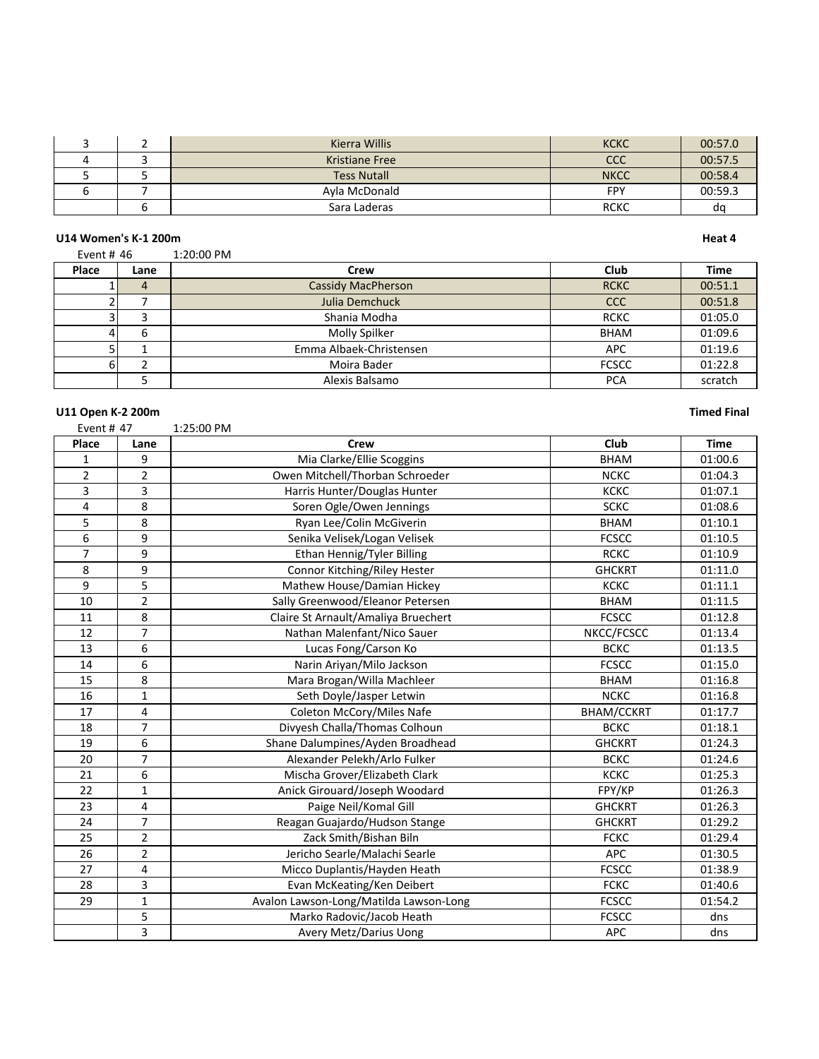|  | Kierra Willis         | <b>KCKC</b> | 00:57.0 |
|--|-----------------------|-------------|---------|
|  | <b>Kristiane Free</b> | ссс         | 00:57.5 |
|  | <b>Tess Nutall</b>    | <b>NKCC</b> | 00:58.4 |
|  | Avla McDonald         | FPY         | 00:59.3 |
|  | Sara Laderas          | <b>RCKC</b> | da      |

### **U14 Women's K-1 200m**

| ×<br>۰,<br>×<br>. .<br>×<br>I |  |
|-------------------------------|--|
|-------------------------------|--|

# Event # 46 1:20:00 PM **Place Lane Crew Club Time** 1 4 Cassidy MacPherson RCKC 00:51.1<br>2 7 Julia Demchuck CCC 00:51.8 2 7 Julia Demchuck<br>
3 3 3 Shania Modha 3 Shania Modha RCKC 01:05.0 4 6 Molly Spilker BHAM 01:09.6<br>5 1 Emma Albaek-Christensen APC 01:19.6 1 Emma Albaek-Christensen APC 11:19.6 6 2 | Moira Bader | FCSCC | 01:22.8 5 Alexis Balsamo PCA scratch

| U11 Open K-2 200m |                |                                        |                   | <b>Timed Final</b> |
|-------------------|----------------|----------------------------------------|-------------------|--------------------|
| Event # 47        |                | 1:25:00 PM                             |                   |                    |
| Place             | Lane           | <b>Crew</b>                            | Club              | <b>Time</b>        |
| 1                 | 9              | Mia Clarke/Ellie Scoggins              | <b>BHAM</b>       | 01:00.6            |
| $\overline{2}$    | $\overline{2}$ | Owen Mitchell/Thorban Schroeder        | <b>NCKC</b>       | 01:04.3            |
| 3                 | 3              | Harris Hunter/Douglas Hunter           | КСКС              | 01:07.1            |
| 4                 | 8              | Soren Ogle/Owen Jennings               | <b>SCKC</b>       | 01:08.6            |
| 5                 | 8              | Ryan Lee/Colin McGiverin               | <b>BHAM</b>       | 01:10.1            |
| 6                 | 9              | Senika Velisek/Logan Velisek           | <b>FCSCC</b>      | 01:10.5            |
| 7                 | 9              | Ethan Hennig/Tyler Billing             | <b>RCKC</b>       | 01:10.9            |
| 8                 | 9              | Connor Kitching/Riley Hester           | <b>GHCKRT</b>     | 01:11.0            |
| 9                 | 5              | Mathew House/Damian Hickey             | KCKC              | 01:11.1            |
| 10                | $\overline{2}$ | Sally Greenwood/Eleanor Petersen       | <b>BHAM</b>       | 01:11.5            |
| 11                | 8              | Claire St Arnault/Amaliya Bruechert    | <b>FCSCC</b>      | 01:12.8            |
| 12                | $\overline{7}$ | Nathan Malenfant/Nico Sauer            | NKCC/FCSCC        | 01:13.4            |
| 13                | 6              | Lucas Fong/Carson Ko                   | <b>BCKC</b>       | 01:13.5            |
| 14                | 6              | Narin Ariyan/Milo Jackson              | <b>FCSCC</b>      | 01:15.0            |
| 15                | 8              | Mara Brogan/Willa Machleer             | <b>BHAM</b>       | 01:16.8            |
| 16                | $\mathbf{1}$   | Seth Doyle/Jasper Letwin               | <b>NCKC</b>       | 01:16.8            |
| 17                | 4              | Coleton McCory/Miles Nafe              | <b>BHAM/CCKRT</b> | 01:17.7            |
| 18                | $\overline{7}$ | Divyesh Challa/Thomas Colhoun          | <b>BCKC</b>       | 01:18.1            |
| 19                | 6              | Shane Dalumpines/Ayden Broadhead       | <b>GHCKRT</b>     | 01:24.3            |
| 20                | $\overline{7}$ | Alexander Pelekh/Arlo Fulker           | <b>BCKC</b>       | 01:24.6            |
| 21                | 6              | Mischa Grover/Elizabeth Clark          | <b>KCKC</b>       | 01:25.3            |
| 22                | $\mathbf{1}$   | Anick Girouard/Joseph Woodard          | FPY/KP            | 01:26.3            |
| 23                | 4              | Paige Neil/Komal Gill                  | <b>GHCKRT</b>     | 01:26.3            |
| 24                | $\overline{7}$ | Reagan Guajardo/Hudson Stange          | <b>GHCKRT</b>     | 01:29.2            |
| 25                | $\overline{2}$ | Zack Smith/Bishan Biln                 | <b>FCKC</b>       | 01:29.4            |
| 26                | $\overline{2}$ | Jericho Searle/Malachi Searle          | <b>APC</b>        | 01:30.5            |
| 27                | 4              | Micco Duplantis/Hayden Heath           | <b>FCSCC</b>      | 01:38.9            |
| 28                | 3              | Evan McKeating/Ken Deibert             | <b>FCKC</b>       | 01:40.6            |
| 29                | $\mathbf{1}$   | Avalon Lawson-Long/Matilda Lawson-Long | <b>FCSCC</b>      | 01:54.2            |
|                   | 5              | Marko Radovic/Jacob Heath              | <b>FCSCC</b>      | dns                |
|                   | 3              | Avery Metz/Darius Uong                 | <b>APC</b>        | dns                |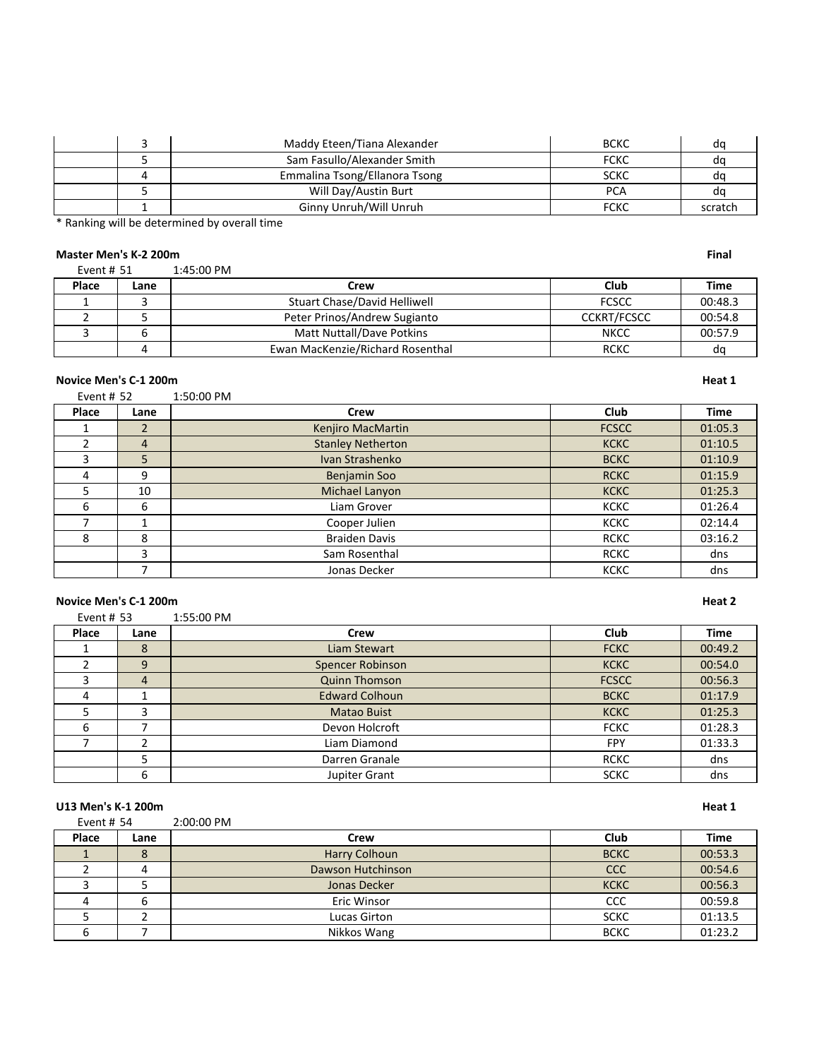|  | Maddy Eteen/Tiana Alexander   | <b>BCKC</b> | d٥      |
|--|-------------------------------|-------------|---------|
|  | Sam Fasullo/Alexander Smith   | <b>FCKC</b> | α       |
|  | Emmalina Tsong/Ellanora Tsong | <b>SCKC</b> |         |
|  | Will Day/Austin Burt          | <b>PCA</b>  | α       |
|  | Ginny Unruh/Will Unruh        | <b>FCKC</b> | scratch |

\* Ranking will be determined by overall time

# **Master Men's K-2 200m Final**

| Event $# 51$ |      | $1:45:00$ PM                     |                    |         |
|--------------|------|----------------------------------|--------------------|---------|
| Place        | Lane | Crew                             | Club               | Time    |
|              |      | Stuart Chase/David Helliwell     | <b>FCSCC</b>       | 00:48.3 |
|              |      | Peter Prinos/Andrew Sugianto     | <b>CCKRT/FCSCC</b> | 00:54.8 |
|              |      | Matt Nuttall/Dave Potkins        | <b>NKCC</b>        | 00:57.9 |
|              |      | Ewan MacKenzie/Richard Rosenthal | <b>RCKC</b>        | dc      |

### **Novice Men's C-1 200m Heat 1**

Event # 52 1:50:00 PM

| ------- |      | - - - - - - - - - - - - - - - |              |             |
|---------|------|-------------------------------|--------------|-------------|
| Place   | Lane | Crew                          | <b>Club</b>  | <b>Time</b> |
|         | 2    | Kenjiro MacMartin             | <b>FCSCC</b> | 01:05.3     |
|         | 4    | <b>Stanley Netherton</b>      | <b>KCKC</b>  | 01:10.5     |
|         | 5    | Ivan Strashenko               | <b>BCKC</b>  | 01:10.9     |
| 4       | 9    | Benjamin Soo                  | <b>RCKC</b>  | 01:15.9     |
|         | 10   | Michael Lanyon                | <b>KCKC</b>  | 01:25.3     |
| 6       | 6    | Liam Grover                   | KCKC         | 01:26.4     |
|         |      | Cooper Julien                 | <b>KCKC</b>  | 02:14.4     |
| 8       | 8    | <b>Braiden Davis</b>          | <b>RCKC</b>  | 03:16.2     |
|         | 3    | Sam Rosenthal                 | <b>RCKC</b>  | dns         |
|         |      | Jonas Decker                  | <b>KCKC</b>  | dns         |

# **Novice Men's C-1 200m Heat 2**

| Event # $53$ |      | 1:55:00 PM            |              |             |
|--------------|------|-----------------------|--------------|-------------|
| Place        | Lane | Crew                  | Club         | <b>Time</b> |
|              | 8    | Liam Stewart          | <b>FCKC</b>  | 00:49.2     |
|              | 9    | Spencer Robinson      | <b>KCKC</b>  | 00:54.0     |
| 3            | 4    | <b>Quinn Thomson</b>  | <b>FCSCC</b> | 00:56.3     |
| 4            |      | <b>Edward Colhoun</b> | <b>BCKC</b>  | 01:17.9     |
|              | 3    | <b>Matao Buist</b>    | <b>KCKC</b>  | 01:25.3     |
| 6            |      | Devon Holcroft        | <b>FCKC</b>  | 01:28.3     |
|              |      | Liam Diamond          | <b>FPY</b>   | 01:33.3     |
|              | 5    | Darren Granale        | <b>RCKC</b>  | dns         |
|              | 6    | Jupiter Grant         | <b>SCKC</b>  | dns         |

### **U13 Men's K-1 200m Heat 1**

| Event # 54 |      | 2:00:00 PM        |             |             |
|------------|------|-------------------|-------------|-------------|
| Place      | Lane | Crew              | Club        | <b>Time</b> |
|            | 8    | Harry Colhoun     | <b>BCKC</b> | 00:53.3     |
|            |      | Dawson Hutchinson | <b>CCC</b>  | 00:54.6     |
|            |      | Jonas Decker      | <b>KCKC</b> | 00:56.3     |
|            | b    | Eric Winsor       | <b>CCC</b>  | 00:59.8     |
|            |      | Lucas Girton      | <b>SCKC</b> | 01:13.5     |
|            |      | Nikkos Wang       | <b>BCKC</b> | 01:23.2     |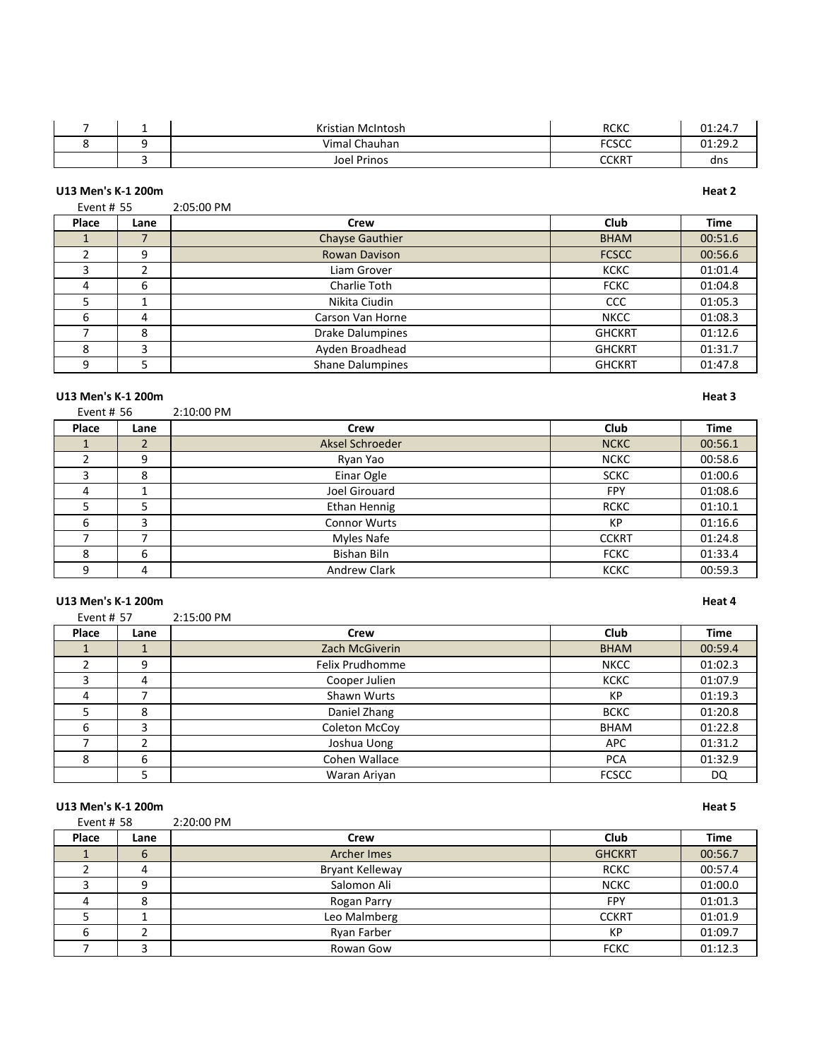|  | Kristian McIntosh  | <b>RCKC</b>    | 01:24.7                 |
|--|--------------------|----------------|-------------------------|
|  | Vimal Chauhan      | FCCCT<br>טאנג. | $01.20$ 3<br>. <i>.</i> |
|  | <b>Joel Prinos</b> | <b>CCKRT</b>   | dns                     |

# **U13 Men's K-1 200m Heat 2**

Event # 55 2:05:00 PM

| Place | Lane | Crew                    | Club          | <b>Time</b> |
|-------|------|-------------------------|---------------|-------------|
|       |      | <b>Chayse Gauthier</b>  | <b>BHAM</b>   | 00:51.6     |
|       | 9    | <b>Rowan Davison</b>    | <b>FCSCC</b>  | 00:56.6     |
|       |      | Liam Grover             | <b>KCKC</b>   | 01:01.4     |
| 4     | 6    | Charlie Toth            | <b>FCKC</b>   | 01:04.8     |
|       |      | Nikita Ciudin           | <b>CCC</b>    | 01:05.3     |
|       | 4    | Carson Van Horne        | <b>NKCC</b>   | 01:08.3     |
|       | 8    | <b>Drake Dalumpines</b> | <b>GHCKRT</b> | 01:12.6     |
|       | 3    | Ayden Broadhead         | <b>GHCKRT</b> | 01:31.7     |
|       |      | <b>Shane Dalumpines</b> | <b>GHCKRT</b> | 01:47.8     |

### **U13 Men's K-1 200m Heat 3**

Event # 56 2:10:00 PM **Place Lane Crew Club Time** 1 2 Aksel Schroeder NCKC 00:56.1 9 Ryan Yao NCKC 00:58.6 8 Einar Ogle SCKC 01:00.6 4 | 1 | Joel Girouard | FPY | 01:08.6 5 5 5 5 Ethan Hennig 1 RCKC 1 01:10.1 6 3 Connor Wurts KP 01:16.6 7 Myles Nafe CCKRT 01:24.8 6 Bishan Biln FCKC 01:33.4 9 4 | Andrew Clark **Clark Newslett** KCKC | 00:59.3

# **U13 Men's K-1 200m Heat 4**<br>**Event # 57** 2:15:00 PM

| Event # 57 |      | 2:15:00 PM      |              |             |
|------------|------|-----------------|--------------|-------------|
| Place      | Lane | Crew            | <b>Club</b>  | <b>Time</b> |
|            |      | Zach McGiverin  | <b>BHAM</b>  | 00:59.4     |
|            | 9    | Felix Prudhomme | <b>NKCC</b>  | 01:02.3     |
|            | 4    | Cooper Julien   | KCKC         | 01:07.9     |
| 4          |      | Shawn Wurts     | KP           | 01:19.3     |
|            | 8    | Daniel Zhang    | <b>BCKC</b>  | 01:20.8     |
| 6          | 3    | Coleton McCoy   | <b>BHAM</b>  | 01:22.8     |
|            | ำ    | Joshua Uong     | <b>APC</b>   | 01:31.2     |
| 8          | 6    | Cohen Wallace   | <b>PCA</b>   | 01:32.9     |
|            |      | Waran Ariyan    | <b>FCSCC</b> | DQ          |

### **U13 Men's K-1 200m Heat 5**

| Event # $58$ |      | 2:20:00 PM             |               |             |
|--------------|------|------------------------|---------------|-------------|
| Place        | Lane | Crew                   | <b>Club</b>   | <b>Time</b> |
|              | 6    | Archer Imes            | <b>GHCKRT</b> | 00:56.7     |
|              | 4    | <b>Bryant Kelleway</b> | <b>RCKC</b>   | 00:57.4     |
|              | 9    | Salomon Ali            | <b>NCKC</b>   | 01:00.0     |
|              | 8    | Rogan Parry            | <b>FPY</b>    | 01:01.3     |
|              |      | Leo Malmberg           | <b>CCKRT</b>  | 01:01.9     |
|              |      | Ryan Farber            | KP            | 01:09.7     |
|              |      | Rowan Gow              | <b>FCKC</b>   | 01:12.3     |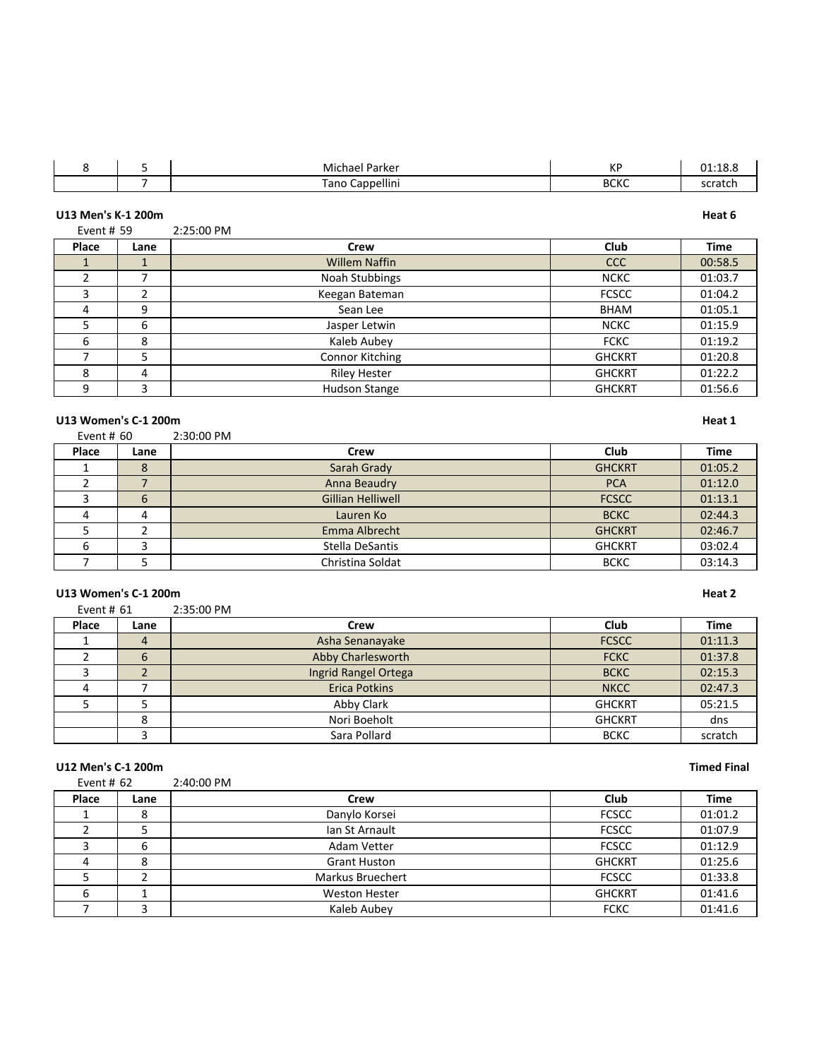|  | Michael Parker     | ИD<br>INГ     | 01:18.8 |
|--|--------------------|---------------|---------|
|  | Cappellini<br>Tano | DCI/C<br>かしいし | scratch |

|            | U13 Men's K-1 200m |                        |               | Heat 6      |
|------------|--------------------|------------------------|---------------|-------------|
| Event # 59 |                    | 2:25:00 PM             |               |             |
| Place      | Lane               | Crew                   | Club          | <b>Time</b> |
|            |                    | <b>Willem Naffin</b>   | <b>CCC</b>    | 00:58.5     |
|            |                    | Noah Stubbings         | <b>NCKC</b>   | 01:03.7     |
| 3          | 2                  | Keegan Bateman         | <b>FCSCC</b>  | 01:04.2     |
| 4          | 9                  | Sean Lee               | BHAM          | 01:05.1     |
| 5          | 6                  | Jasper Letwin          | <b>NCKC</b>   | 01:15.9     |
| 6          | 8                  | Kaleb Aubey            | <b>FCKC</b>   | 01:19.2     |
|            | 5                  | <b>Connor Kitching</b> | <b>GHCKRT</b> | 01:20.8     |
| 8          | 4                  | <b>Riley Hester</b>    | <b>GHCKRT</b> | 01:22.2     |
| 9          | 3                  | Hudson Stange          | <b>GHCKRT</b> | 01:56.6     |

### **U13 Women's C-1 200m Heat 1**

| Event # $60$ |      | 2:30:00 PM               |               |         |  |  |
|--------------|------|--------------------------|---------------|---------|--|--|
| Place        | Lane | Crew                     | Club          | Time    |  |  |
|              |      | Sarah Grady              | <b>GHCKRT</b> | 01:05.2 |  |  |
|              |      | Anna Beaudry             | <b>PCA</b>    | 01:12.0 |  |  |
|              | b    | <b>Gillian Helliwell</b> | <b>FCSCC</b>  | 01:13.1 |  |  |
| 4            |      | Lauren Ko                | <b>BCKC</b>   | 02:44.3 |  |  |
|              |      | Emma Albrecht            | <b>GHCKRT</b> | 02:46.7 |  |  |

### **U13 Women's C-1 200m Heat 2**

| Event # $61$ |      | 2:35:00 PM           |               |             |
|--------------|------|----------------------|---------------|-------------|
| Place        | Lane | Crew                 | Club          | <b>Time</b> |
|              | 4    | Asha Senanayake      | <b>FCSCC</b>  | 01:11.3     |
|              | 6    | Abby Charlesworth    | <b>FCKC</b>   | 01:37.8     |
|              |      | Ingrid Rangel Ortega | <b>BCKC</b>   | 02:15.3     |
| 4            |      | <b>Erica Potkins</b> | <b>NKCC</b>   | 02:47.3     |
|              |      | Abby Clark           | <b>GHCKRT</b> | 05:21.5     |
|              | 8    | Nori Boeholt         | <b>GHCKRT</b> | dns         |
|              |      | Sara Pollard         | <b>BCKC</b>   | scratch     |

6 3 | Stella DeSantis | GHCKRT | 03:02.4 T 3 5 Christina Soldat BCKC 83:14.3

### **U12 Men's C-1 200m Timed Final**

| Event # $62$ |      | 2:40:00 PM              |               |             |
|--------------|------|-------------------------|---------------|-------------|
| Place        | Lane | Crew                    | Club          | <b>Time</b> |
|              | 8    | Danylo Korsei           | <b>FCSCC</b>  | 01:01.2     |
|              |      | Ian St Arnault          | <b>FCSCC</b>  | 01:07.9     |
|              | 6    | Adam Vetter             | <b>FCSCC</b>  | 01:12.9     |
|              | 8    | <b>Grant Huston</b>     | <b>GHCKRT</b> | 01:25.6     |
|              |      | <b>Markus Bruechert</b> | <b>FCSCC</b>  | 01:33.8     |
| 6            |      | <b>Weston Hester</b>    | <b>GHCKRT</b> | 01:41.6     |
|              |      | Kaleb Aubey             | <b>FCKC</b>   | 01:41.6     |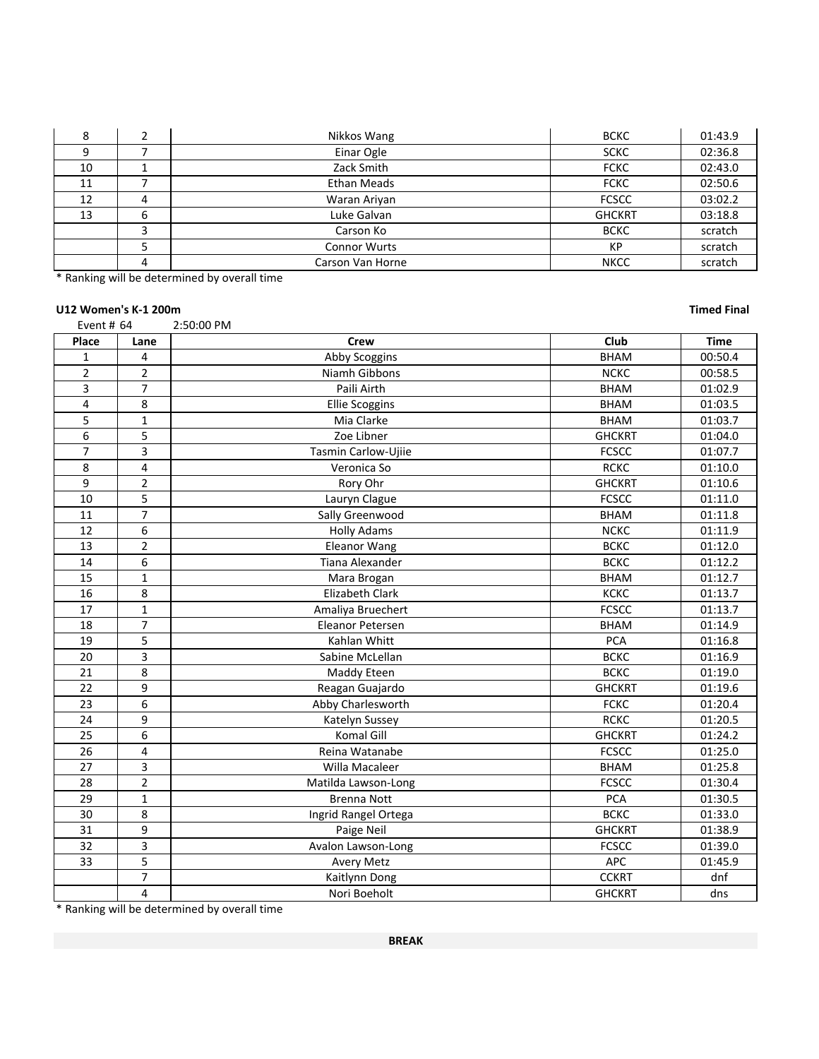|    |   | Nikkos Wang         | <b>BCKC</b>   | 01:43.9 |
|----|---|---------------------|---------------|---------|
|    |   | Einar Ogle          | <b>SCKC</b>   | 02:36.8 |
| 10 |   | Zack Smith          | <b>FCKC</b>   | 02:43.0 |
| 11 |   | <b>Ethan Meads</b>  | <b>FCKC</b>   | 02:50.6 |
| 12 | 4 | Waran Ariyan        | <b>FCSCC</b>  | 03:02.2 |
| 13 | 6 | Luke Galvan         | <b>GHCKRT</b> | 03:18.8 |
|    |   | Carson Ko           | <b>BCKC</b>   | scratch |
|    |   | <b>Connor Wurts</b> | KP            | scratch |
|    | 4 | Carson Van Horne    | <b>NKCC</b>   | scratch |

\* Ranking will be determined by overall time

# **U12 Women's K-1 200m Timed Final**

| Event # 64     |                         | 2:50:00 PM              |               |             |
|----------------|-------------------------|-------------------------|---------------|-------------|
| Place          | Lane                    | <b>Crew</b>             | Club          | <b>Time</b> |
| $\mathbf{1}$   | 4                       | Abby Scoggins           | <b>BHAM</b>   | 00:50.4     |
| $\overline{2}$ | $\overline{2}$          | Niamh Gibbons           | <b>NCKC</b>   | 00:58.5     |
| 3              | $\overline{7}$          | Paili Airth             | <b>BHAM</b>   | 01:02.9     |
| $\overline{4}$ | 8                       | <b>Ellie Scoggins</b>   | <b>BHAM</b>   | 01:03.5     |
| 5              | $\mathbf{1}$            | Mia Clarke              | <b>BHAM</b>   | 01:03.7     |
| 6              | 5                       | Zoe Libner              | <b>GHCKRT</b> | 01:04.0     |
| $\overline{7}$ | 3                       | Tasmin Carlow-Ujiie     | <b>FCSCC</b>  | 01:07.7     |
| 8              | 4                       | Veronica So             | <b>RCKC</b>   | 01:10.0     |
| 9              | $\overline{2}$          | Rory Ohr                | <b>GHCKRT</b> | 01:10.6     |
| 10             | 5                       | Lauryn Clague           | <b>FCSCC</b>  | 01:11.0     |
| 11             | $\overline{7}$          | Sally Greenwood         | <b>BHAM</b>   | 01:11.8     |
| 12             | 6                       | <b>Holly Adams</b>      | <b>NCKC</b>   | 01:11.9     |
| 13             | $\overline{2}$          | <b>Eleanor Wang</b>     | <b>BCKC</b>   | 01:12.0     |
| 14             | 6                       | <b>Tiana Alexander</b>  | <b>BCKC</b>   | 01:12.2     |
| 15             | $\mathbf{1}$            | Mara Brogan             | <b>BHAM</b>   | 01:12.7     |
| 16             | 8                       | <b>Elizabeth Clark</b>  | <b>KCKC</b>   | 01:13.7     |
| 17             | $\mathbf{1}$            | Amaliya Bruechert       | <b>FCSCC</b>  | 01:13.7     |
| 18             | $\overline{7}$          | <b>Eleanor Petersen</b> | <b>BHAM</b>   | 01:14.9     |
| 19             | 5                       | Kahlan Whitt            | PCA           | 01:16.8     |
| 20             | 3                       | Sabine McLellan         | ВСКС          | 01:16.9     |
| 21             | 8                       | Maddy Eteen             | <b>BCKC</b>   | 01:19.0     |
| 22             | 9                       | Reagan Guajardo         | <b>GHCKRT</b> | 01:19.6     |
| 23             | 6                       | Abby Charlesworth       | <b>FCKC</b>   | 01:20.4     |
| 24             | 9                       | Katelyn Sussey          | <b>RCKC</b>   | 01:20.5     |
| 25             | 6                       | Komal Gill              | <b>GHCKRT</b> | 01:24.2     |
| 26             | 4                       | Reina Watanabe          | <b>FCSCC</b>  | 01:25.0     |
| 27             | 3                       | Willa Macaleer          | <b>BHAM</b>   | 01:25.8     |
| 28             | $\overline{2}$          | Matilda Lawson-Long     | <b>FCSCC</b>  | 01:30.4     |
| 29             | $\mathbf{1}$            | <b>Brenna Nott</b>      | PCA           | 01:30.5     |
| 30             | 8                       | Ingrid Rangel Ortega    | <b>BCKC</b>   | 01:33.0     |
| 31             | 9                       | Paige Neil              | <b>GHCKRT</b> | 01:38.9     |
| 32             | 3                       | Avalon Lawson-Long      | <b>FCSCC</b>  | 01:39.0     |
| 33             | 5                       | <b>Avery Metz</b>       | APC           | 01:45.9     |
|                | $\overline{7}$          | Kaitlynn Dong           | <b>CCKRT</b>  | dnf         |
|                | $\overline{\mathbf{4}}$ | Nori Boeholt            | <b>GHCKRT</b> | dns         |

\* Ranking will be determined by overall time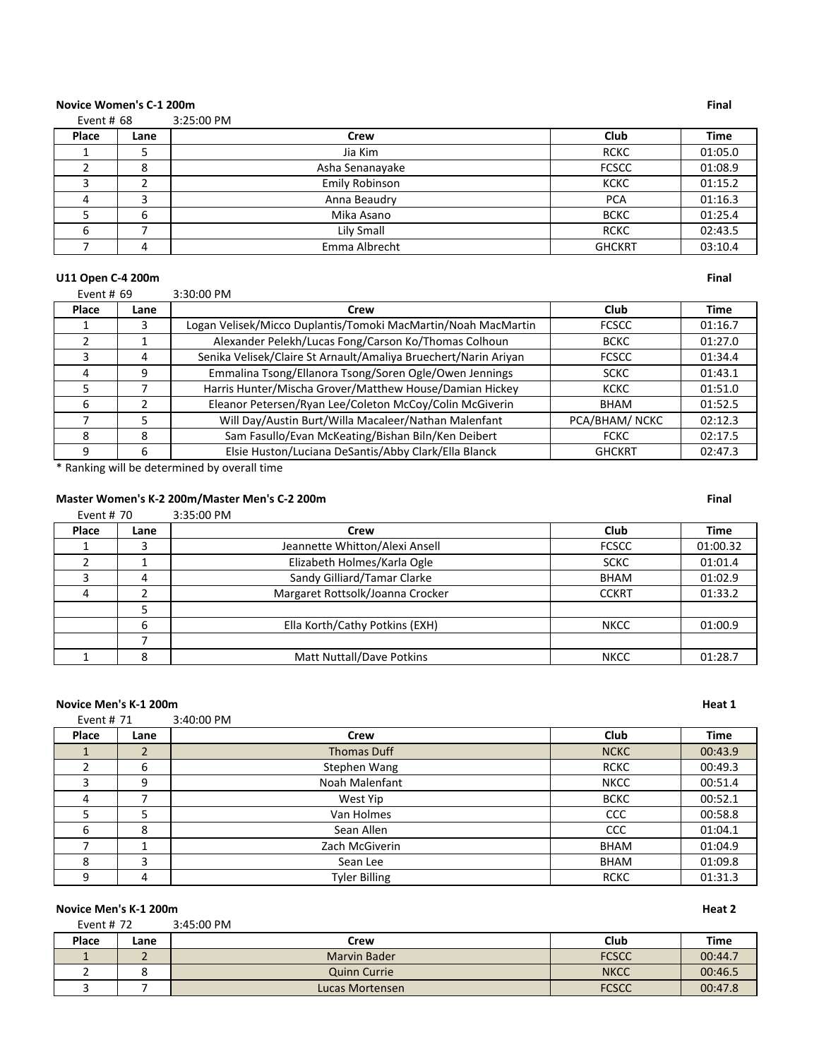# **Novice Women's C-1 200m Final**

Event # 68 3:25:00 PM

| Place | Lane | <b>Crew</b>     | <b>Club</b>   | <b>Time</b> |
|-------|------|-----------------|---------------|-------------|
|       | ر    | Jia Kim         | <b>RCKC</b>   | 01:05.0     |
|       | Ο    | Asha Senanayake | <b>FCSCC</b>  | 01:08.9     |
|       |      | Emily Robinson  | <b>KCKC</b>   | 01:15.2     |
|       |      | Anna Beaudry    | <b>PCA</b>    | 01:16.3     |
|       | 6    | Mika Asano      | <b>BCKC</b>   | 01:25.4     |
|       |      | Lily Small      | <b>RCKC</b>   | 02:43.5     |
|       | Λ    | Emma Albrecht   | <b>GHCKRT</b> | 03:10.4     |

# **U11** Open C-4 200m **Final**

Event # 69 3:30:00 PM

| Place | Lane | Crew                                                            | Club           | <b>Time</b> |
|-------|------|-----------------------------------------------------------------|----------------|-------------|
|       | 3    | Logan Velisek/Micco Duplantis/Tomoki MacMartin/Noah MacMartin   | <b>FCSCC</b>   | 01:16.7     |
|       |      | Alexander Pelekh/Lucas Fong/Carson Ko/Thomas Colhoun            | <b>BCKC</b>    | 01:27.0     |
|       | 4    | Senika Velisek/Claire St Arnault/Amaliya Bruechert/Narin Ariyan | <b>FCSCC</b>   | 01:34.4     |
| 4     | 9    | Emmalina Tsong/Ellanora Tsong/Soren Ogle/Owen Jennings          | <b>SCKC</b>    | 01:43.1     |
|       |      | Harris Hunter/Mischa Grover/Matthew House/Damian Hickey         | <b>KCKC</b>    | 01:51.0     |
| 6     |      | Eleanor Petersen/Ryan Lee/Coleton McCoy/Colin McGiverin         | BHAM           | 01:52.5     |
|       |      | Will Day/Austin Burt/Willa Macaleer/Nathan Malenfant            | PCA/BHAM/ NCKC | 02:12.3     |
| 8     | 8    | Sam Fasullo/Evan McKeating/Bishan Biln/Ken Deibert              | <b>FCKC</b>    | 02:17.5     |
| 9     | 6    | Elsie Huston/Luciana DeSantis/Abby Clark/Ella Blanck            | <b>GHCKRT</b>  | 02:47.3     |

\* Ranking will be determined by overall time

# **Master Women's K-2 200m/Master Men's C-2 200m Final**

| Event # 70 |      | 3:35:00 PM                       |              |             |
|------------|------|----------------------------------|--------------|-------------|
| Place      | Lane | Crew                             | Club         | <b>Time</b> |
|            | 3    | Jeannette Whitton/Alexi Ansell   | <b>FCSCC</b> | 01:00.32    |
|            |      | Elizabeth Holmes/Karla Ogle      | <b>SCKC</b>  | 01:01.4     |
|            | 4    | Sandy Gilliard/Tamar Clarke      | <b>BHAM</b>  | 01:02.9     |
| 4          |      | Margaret Rottsolk/Joanna Crocker | <b>CCKRT</b> | 01:33.2     |
|            |      |                                  |              |             |
|            | 6    | Ella Korth/Cathy Potkins (EXH)   | <b>NKCC</b>  | 01:00.9     |
|            |      |                                  |              |             |
|            | 8    | <b>Matt Nuttall/Dave Potkins</b> | <b>NKCC</b>  | 01:28.7     |

# **Novice Men's K-1 200m Heat 1**

| Event # 71 |      | 3:40:00 PM           |             |             |
|------------|------|----------------------|-------------|-------------|
| Place      | Lane | Crew                 | Club        | <b>Time</b> |
|            | 2    | <b>Thomas Duff</b>   | <b>NCKC</b> | 00:43.9     |
|            | 6    | Stephen Wang         | <b>RCKC</b> | 00:49.3     |
|            | 9    | Noah Malenfant       | <b>NKCC</b> | 00:51.4     |
| 4          |      | West Yip             | <b>BCKC</b> | 00:52.1     |
|            |      | Van Holmes           | CCC         | 00:58.8     |
| 6          | 8    | Sean Allen           | CCC         | 01:04.1     |
|            |      | Zach McGiverin       | <b>BHAM</b> | 01:04.9     |
| 8          | 3    | Sean Lee             | <b>BHAM</b> | 01:09.8     |
|            | 4    | <b>Tyler Billing</b> | <b>RCKC</b> | 01:31.3     |

# **Novice Men's K-1 200m Heat 2**<br> **Read 12**<br> **Event # 72 3:45:00 PM**

| Event # $72$ |      | $3:45:00$ PM        |              |             |
|--------------|------|---------------------|--------------|-------------|
| Place        | Lane | Crew                | Club         | <b>Time</b> |
|              |      | <b>Marvin Bader</b> | <b>FCSCC</b> | 00:44.7     |
|              |      | <b>Quinn Currie</b> | <b>NKCC</b>  | 00:46.5     |
|              |      | Lucas Mortensen     | <b>FCSCC</b> | 00:47.8     |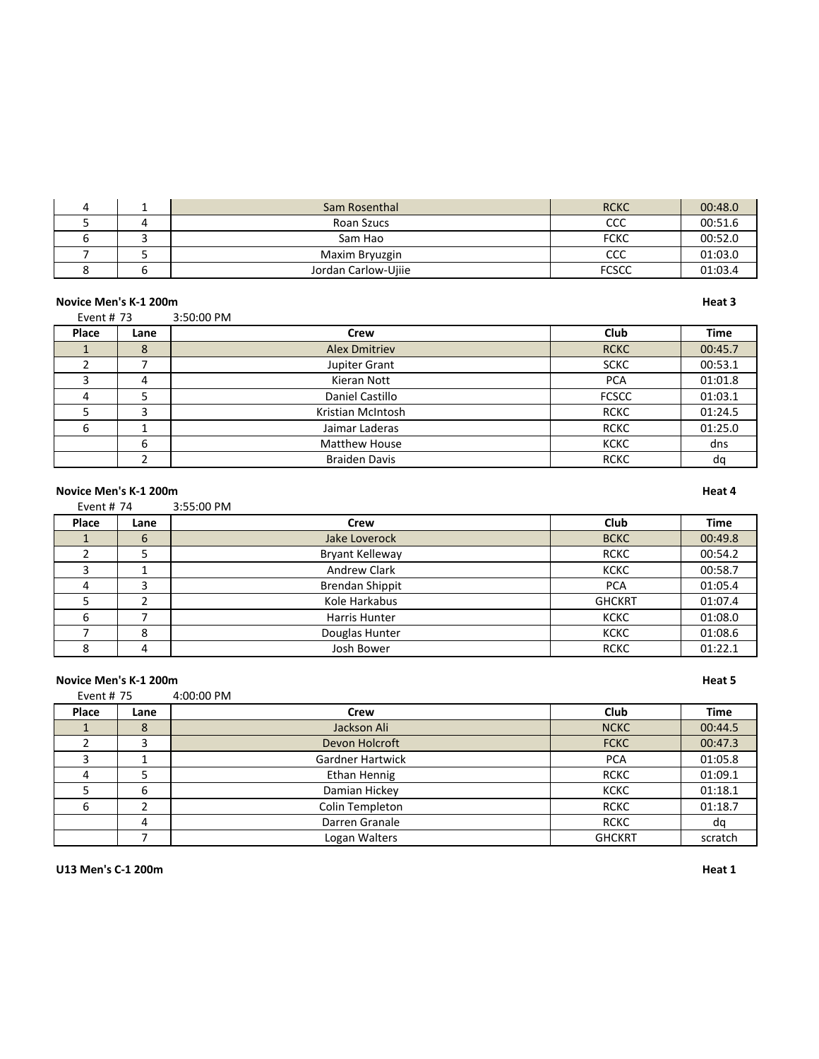|  | Sam Rosenthal       | <b>RCKC</b>  | 00:48.0 |
|--|---------------------|--------------|---------|
|  | Roan Szucs          | ссс          | 00:51.6 |
|  | Sam Hao             | <b>FCKC</b>  | 00:52.0 |
|  | Maxim Bryuzgin      | ссс          | 01:03.0 |
|  | Jordan Carlow-Ujiie | <b>FCSCC</b> | 01:03.4 |

### **Novice Men's K-1 200m Heat 3**

Event # 73 3:50:00 PM **Place Lane Crew Club Time** 1 8 Alex Dmitriev RCKC 00:45.7 a a bupiter Grant 1 and SCKC 1 00:53.1 3 4 Kieran Nott PCA 01:01.8 4 | 5 | Daniel Castillo | FCSCC | 01:03.1 5 3 3 Kristian McIntosh RCKC 01:24.5 6 1 Jaimar Laderas RCKC 01:25.0 6 Matthew House Number 2012 RCKC dns 2 decree braiden Davis and the control of the Braiden Davis and the control of the dq

# **Novice Men's K-1 200m Heat 4**

Event # 74 3:55:00 PM **Place Lane Crew Club Time** 1 6 Jake Loverock BCKC 00:49.8 2 | 5 | Bryant Kelleway | RCKC | 00:54.2 3 1 1 Andrew Clark Andrew Clark KCKC 00:58.7 4 3 Brendan Shippit Brendan Shippit Research PCA 01:05.4 5 2 | Kole Harkabus | GHCKRT | 01:07.4 6 7 Harris Hunter KCKC 01:08.0 T 8 Douglas Hunter KCKC 01:08.6<br>
1991 - Josh Bower Band RCKC 01:22.1 8 4 Josh Bower RCKC 01:22.1

### **Novice Men's K-1 200m Heat 5**

| Event # 75   |      | 4:00:00 PM              |               |             |
|--------------|------|-------------------------|---------------|-------------|
| Place        | Lane | Crew                    | Club          | <b>Time</b> |
|              | 8    | Jackson Ali             | <b>NCKC</b>   | 00:44.5     |
|              |      | Devon Holcroft          | <b>FCKC</b>   | 00:47.3     |
|              |      | <b>Gardner Hartwick</b> | <b>PCA</b>    | 01:05.8     |
| $\mathbf{u}$ |      | Ethan Hennig            | <b>RCKC</b>   | 01:09.1     |
|              | 6    | Damian Hickey           | <b>KCKC</b>   | 01:18.1     |
| 6            |      | Colin Templeton         | <b>RCKC</b>   | 01:18.7     |
|              | 4    | Darren Granale          | <b>RCKC</b>   | da          |
|              |      | Logan Walters           | <b>GHCKRT</b> | scratch     |

**U13 Men's C-1 200m Heat 1**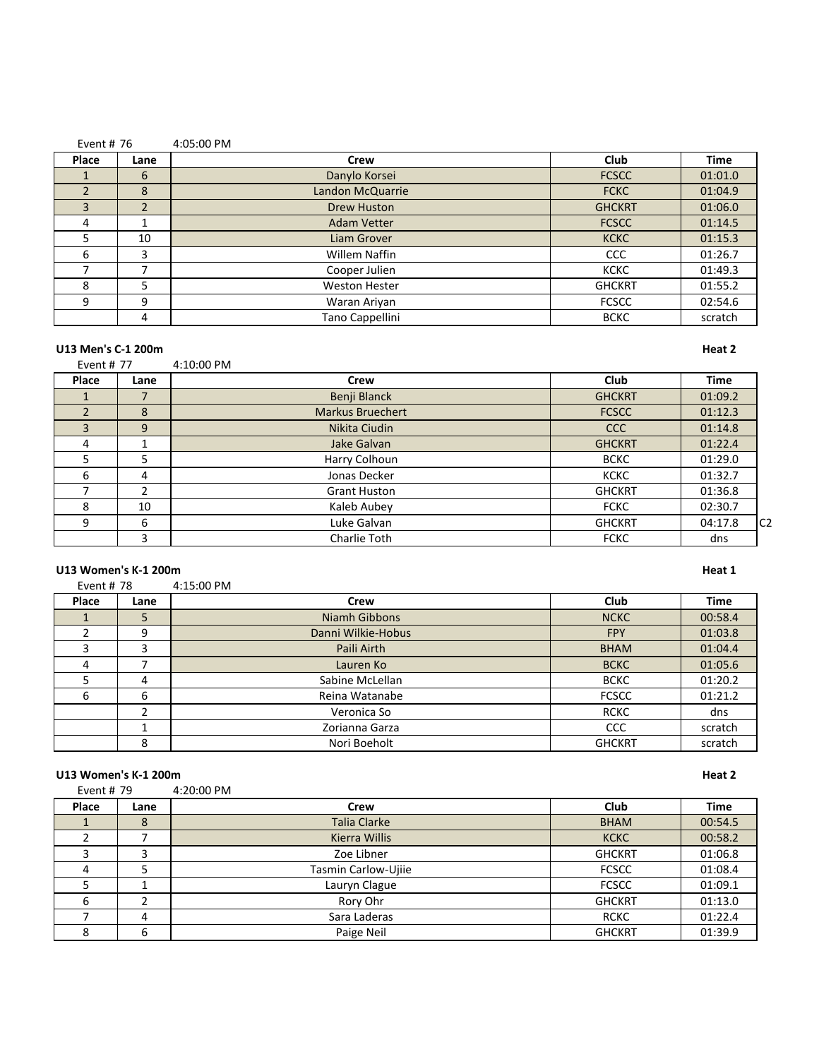| Event # $76$ |                | 4:05:00 PM           |               |             |
|--------------|----------------|----------------------|---------------|-------------|
| Place        | Lane           | Crew                 | Club          | <b>Time</b> |
|              | 6              | Danylo Korsei        | <b>FCSCC</b>  | 01:01.0     |
|              | 8              | Landon McQuarrie     | <b>FCKC</b>   | 01:04.9     |
| 3            | $\overline{2}$ | <b>Drew Huston</b>   | <b>GHCKRT</b> | 01:06.0     |
| 4            |                | <b>Adam Vetter</b>   | <b>FCSCC</b>  | 01:14.5     |
| 5            | 10             | Liam Grover          | <b>KCKC</b>   | 01:15.3     |
| 6            | 3              | <b>Willem Naffin</b> | CCC           | 01:26.7     |
|              | ⇁              | Cooper Julien        | <b>KCKC</b>   | 01:49.3     |
| 8            | 5              | <b>Weston Hester</b> | <b>GHCKRT</b> | 01:55.2     |
| 9            | 9              | Waran Ariyan         | <b>FCSCC</b>  | 02:54.6     |
|              | 4              | Tano Cappellini      | <b>BCKC</b>   | scratch     |

### **U13 Men's C-1 200m Heat 2**

| Event # 77 |      | $4:10:00$ PM            |               |         |  |
|------------|------|-------------------------|---------------|---------|--|
| Place      | Lane | Crew                    | Club          | Time    |  |
|            |      | Benji Blanck            | <b>GHCKRT</b> | 01:09.2 |  |
|            |      | <b>Markus Bruechert</b> | <b>FCSCC</b>  | 01:12.3 |  |
|            |      | Nikita Ciudin           | CCC           | 01:14.8 |  |

|   |          | Nikita Ciudin       | <b>CCC</b>    | 01:14.8 |                |
|---|----------|---------------------|---------------|---------|----------------|
|   |          | Jake Galvan         | <b>GHCKRT</b> | 01:22.4 |                |
|   |          | Harry Colhoun       | <b>BCKC</b>   | 01:29.0 |                |
|   | $\prime$ | Jonas Decker        | <b>KCKC</b>   | 01:32.7 |                |
|   |          | <b>Grant Huston</b> | <b>GHCKRT</b> | 01:36.8 |                |
|   | 10       | Kaleb Aubey         | <b>FCKC</b>   | 02:30.7 |                |
| C |          | Luke Galvan         | <b>GHCKRT</b> | 04:17.8 | C <sub>2</sub> |
|   |          | Charlie Toth        | <b>FCKC</b>   | dns     |                |

# U13 Women's K-1 200m **Heat 1**

| Event # 78 | 4:15:00 PM |  |
|------------|------------|--|
|            |            |  |

| ------- |      | .                  |               |             |
|---------|------|--------------------|---------------|-------------|
| Place   | Lane | Crew               | Club          | <b>Time</b> |
|         | 5    | Niamh Gibbons      | <b>NCKC</b>   | 00:58.4     |
|         | 9    | Danni Wilkie-Hobus | <b>FPY</b>    | 01:03.8     |
|         |      | Paili Airth        | <b>BHAM</b>   | 01:04.4     |
| 4       |      | Lauren Ko          | <b>BCKC</b>   | 01:05.6     |
|         | 4    | Sabine McLellan    | <b>BCKC</b>   | 01:20.2     |
| 6       | 6    | Reina Watanabe     | <b>FCSCC</b>  | 01:21.2     |
|         |      | Veronica So        | <b>RCKC</b>   | dns         |
|         |      | Zorianna Garza     | <b>CCC</b>    | scratch     |
|         | 8    | Nori Boeholt       | <b>GHCKRT</b> | scratch     |

### **U13 Women's K-1 200m Heat 2**

| Event # 79 |      | 4:20:00 PM          |               |             |
|------------|------|---------------------|---------------|-------------|
| Place      | Lane | Crew                | Club          | <b>Time</b> |
|            | 8    | <b>Talia Clarke</b> | <b>BHAM</b>   | 00:54.5     |
|            |      | Kierra Willis       | <b>KCKC</b>   | 00:58.2     |
|            |      | Zoe Libner          | <b>GHCKRT</b> | 01:06.8     |
| 4          | 5    | Tasmin Carlow-Ujiie | <b>FCSCC</b>  | 01:08.4     |
|            |      | Lauryn Clague       | <b>FCSCC</b>  | 01:09.1     |
| 6          |      | Rory Ohr            | <b>GHCKRT</b> | 01:13.0     |
|            | 4    | Sara Laderas        | <b>RCKC</b>   | 01:22.4     |
| 8          | 6    | Paige Neil          | <b>GHCKRT</b> | 01:39.9     |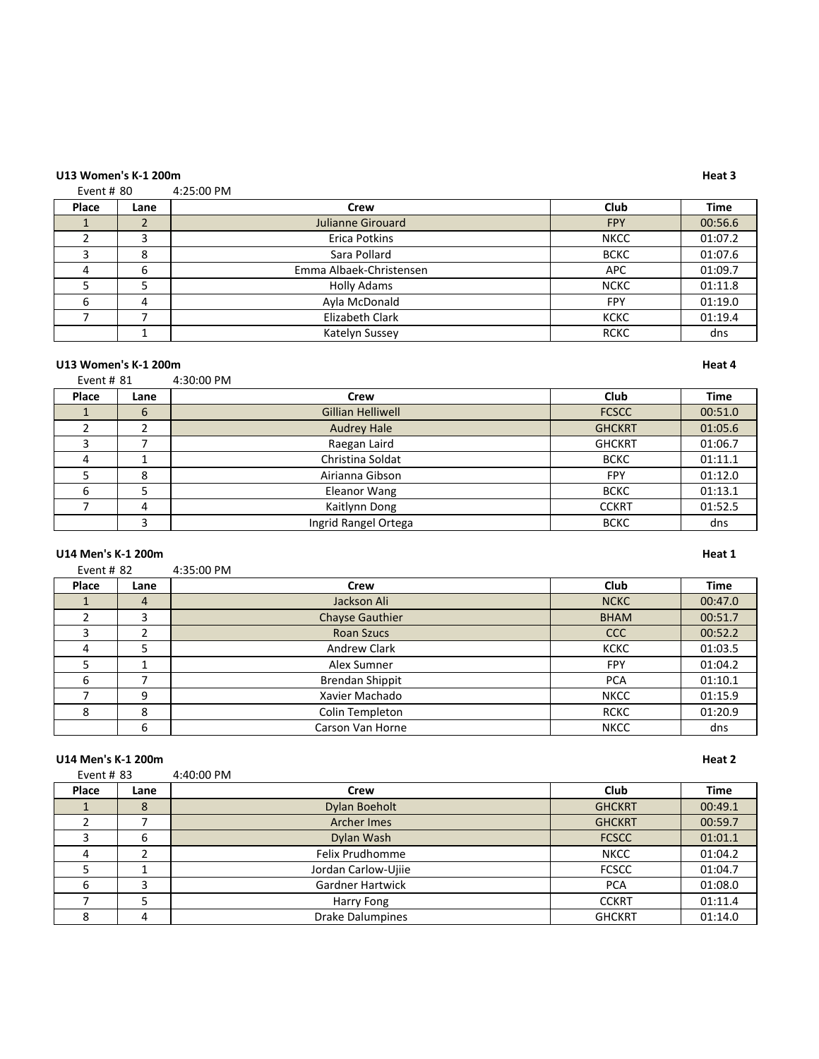### **U13 Women's K-1 200m Heat 3**

Event # 80 4:25:00 PM

| Place | Lane | Crew                    | <b>Club</b> | <b>Time</b> |
|-------|------|-------------------------|-------------|-------------|
|       |      | Julianne Girouard       | <b>FPY</b>  | 00:56.6     |
|       |      | Erica Potkins           | <b>NKCC</b> | 01:07.2     |
|       | 8    | Sara Pollard            | <b>BCKC</b> | 01:07.6     |
|       | 6    | Emma Albaek-Christensen | APC         | 01:09.7     |
|       |      | <b>Holly Adams</b>      | <b>NCKC</b> | 01:11.8     |
| 6     | 4    | Ayla McDonald           | <b>FPY</b>  | 01:19.0     |
|       |      | Elizabeth Clark         | <b>KCKC</b> | 01:19.4     |
|       |      | Katelyn Sussey          | <b>RCKC</b> | dns         |

# U13 Women's K-1 200m **Heat 4**

| Event # $81$ |      | 4:30:00 PM               |               |             |
|--------------|------|--------------------------|---------------|-------------|
| Place        | Lane | Crew                     | Club          | <b>Time</b> |
|              | 6    | <b>Gillian Helliwell</b> | <b>FCSCC</b>  | 00:51.0     |
|              |      | <b>Audrey Hale</b>       | <b>GHCKRT</b> | 01:05.6     |
|              |      | Raegan Laird             | <b>GHCKRT</b> | 01:06.7     |
| 4            |      | Christina Soldat         | <b>BCKC</b>   | 01:11.1     |
|              | 8    | Airianna Gibson          | <b>FPY</b>    | 01:12.0     |
|              |      | Eleanor Wang             | <b>BCKC</b>   | 01:13.1     |
|              | 4    | Kaitlynn Dong            | <b>CCKRT</b>  | 01:52.5     |
|              | 3    | Ingrid Rangel Ortega     | <b>BCKC</b>   | dns         |

# **U14 Men's K-1 200m Heat 1**

| Event # $82$ |      | 4:35:00 PM             |             |             |
|--------------|------|------------------------|-------------|-------------|
| Place        | Lane | Crew                   | Club        | <b>Time</b> |
|              | 4    | Jackson Ali            | <b>NCKC</b> | 00:47.0     |
|              | 3    | <b>Chayse Gauthier</b> | <b>BHAM</b> | 00:51.7     |
| 3            |      | <b>Roan Szucs</b>      | <b>CCC</b>  | 00:52.2     |
| 4            | 5    | Andrew Clark           | <b>KCKC</b> | 01:03.5     |
|              |      | Alex Sumner            | <b>FPY</b>  | 01:04.2     |
| 6            |      | Brendan Shippit        | <b>PCA</b>  | 01:10.1     |
|              | 9    | Xavier Machado         | <b>NKCC</b> | 01:15.9     |
| 8            | 8    | Colin Templeton        | <b>RCKC</b> | 01:20.9     |
|              | 6    | Carson Van Horne       | <b>NKCC</b> | dns         |

|              | U14 Men's K-1 200m |                         |               |             |  |
|--------------|--------------------|-------------------------|---------------|-------------|--|
| Event # $83$ |                    | 4:40:00 PM              |               |             |  |
| Place        | Lane               | Crew                    | Club          | <b>Time</b> |  |
|              | 8                  | Dylan Boeholt           | <b>GHCKRT</b> | 00:49.1     |  |
|              |                    | <b>Archer Imes</b>      | <b>GHCKRT</b> | 00:59.7     |  |
|              | 6                  | Dylan Wash              | <b>FCSCC</b>  | 01:01.1     |  |
| 4            | ∍                  | Felix Prudhomme         | <b>NKCC</b>   | 01:04.2     |  |
|              |                    | Jordan Carlow-Ujiie     | <b>FCSCC</b>  | 01:04.7     |  |
| 6            | 3                  | <b>Gardner Hartwick</b> | <b>PCA</b>    | 01:08.0     |  |
|              | 5                  | Harry Fong              | <b>CCKRT</b>  | 01:11.4     |  |
| 8            | 4                  | <b>Drake Dalumpines</b> | <b>GHCKRT</b> | 01:14.0     |  |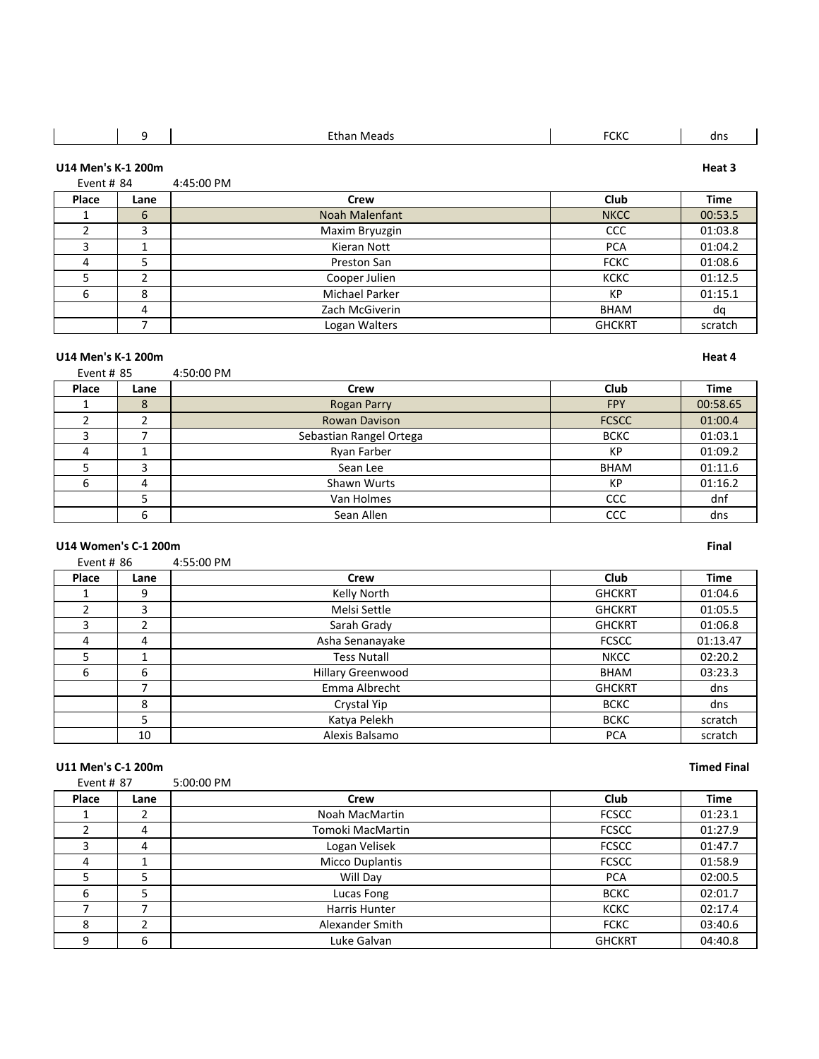|       | Ω                                                | Ethan Meads | <b>FCKC</b> | dns    |
|-------|--------------------------------------------------|-------------|-------------|--------|
|       | U14 Men's K-1 200m<br>Event # $84$<br>4:45:00 PM |             |             | Heat 3 |
| Place | Lane                                             | Crew        | Club        | Time   |

| . | ---- | <b>CILVY</b>   | <b>CIUM</b>   |         |
|---|------|----------------|---------------|---------|
|   | 6    | Noah Malenfant | <b>NKCC</b>   | 00:53.5 |
|   |      | Maxim Bryuzgin | CCC           | 01:03.8 |
|   |      | Kieran Nott    | <b>PCA</b>    | 01:04.2 |
|   |      | Preston San    | <b>FCKC</b>   | 01:08.6 |
|   |      | Cooper Julien  | <b>KCKC</b>   | 01:12.5 |
|   | 8    | Michael Parker | KP            | 01:15.1 |
|   |      | Zach McGiverin | <b>BHAM</b>   | dq      |
|   |      | Logan Walters  | <b>GHCKRT</b> | scratch |

### **U14 Men's K-1 200m Heat 4**

| Event # 85 |      | 4:50:00 PM              |              |             |
|------------|------|-------------------------|--------------|-------------|
| Place      | Lane | Crew                    | Club         | <b>Time</b> |
|            | 8    | <b>Rogan Parry</b>      | <b>FPY</b>   | 00:58.65    |
|            |      | <b>Rowan Davison</b>    | <b>FCSCC</b> | 01:00.4     |
|            |      | Sebastian Rangel Ortega | <b>BCKC</b>  | 01:03.1     |
| 4          |      | Ryan Farber             | KP           | 01:09.2     |
|            | 3    | Sean Lee                | <b>BHAM</b>  | 01:11.6     |
| 6          | 4    | Shawn Wurts             | KP           | 01:16.2     |
|            |      | Van Holmes              | CCC          | dnf         |
|            | 6    | Sean Allen              | CCC          | dns         |

# **U14 Women's C-1 200m Final**

| Event # 86     |      | 4:55:00 PM               |               |             |
|----------------|------|--------------------------|---------------|-------------|
| Place          | Lane | Crew                     | Club          | <b>Time</b> |
|                | 9    | Kelly North              | <b>GHCKRT</b> | 01:04.6     |
|                | 3    | Melsi Settle             | <b>GHCKRT</b> | 01:05.5     |
| 3              | 2    | Sarah Grady              | <b>GHCKRT</b> | 01:06.8     |
| $\overline{a}$ | 4    | Asha Senanayake          | <b>FCSCC</b>  | 01:13.47    |
| 5              | 1    | <b>Tess Nutall</b>       | <b>NKCC</b>   | 02:20.2     |
| 6              | 6    | <b>Hillary Greenwood</b> | <b>BHAM</b>   | 03:23.3     |
|                | ⇁    | Emma Albrecht            | <b>GHCKRT</b> | dns         |
|                | 8    | Crystal Yip              | <b>BCKC</b>   | dns         |
|                | 5    | Katya Pelekh             | <b>BCKC</b>   | scratch     |
|                | 10   | Alexis Balsamo           | <b>PCA</b>    | scratch     |

### **U11 Men's C-1 200m Timed Final**

| Event # 87 |      | 5:00:00 PM       |               |             |
|------------|------|------------------|---------------|-------------|
| Place      | Lane | Crew             | <b>Club</b>   | <b>Time</b> |
|            |      | Noah MacMartin   | <b>FCSCC</b>  | 01:23.1     |
|            | 4    | Tomoki MacMartin | <b>FCSCC</b>  | 01:27.9     |
| 3          | 4    | Logan Velisek    | <b>FCSCC</b>  | 01:47.7     |
| 4          |      | Micco Duplantis  | <b>FCSCC</b>  | 01:58.9     |
|            | 5    | Will Day         | <b>PCA</b>    | 02:00.5     |
| 6          | 5    | Lucas Fong       | <b>BCKC</b>   | 02:01.7     |
|            |      | Harris Hunter    | <b>KCKC</b>   | 02:17.4     |
| 8          |      | Alexander Smith  | <b>FCKC</b>   | 03:40.6     |
| 9          | 6    | Luke Galvan      | <b>GHCKRT</b> | 04:40.8     |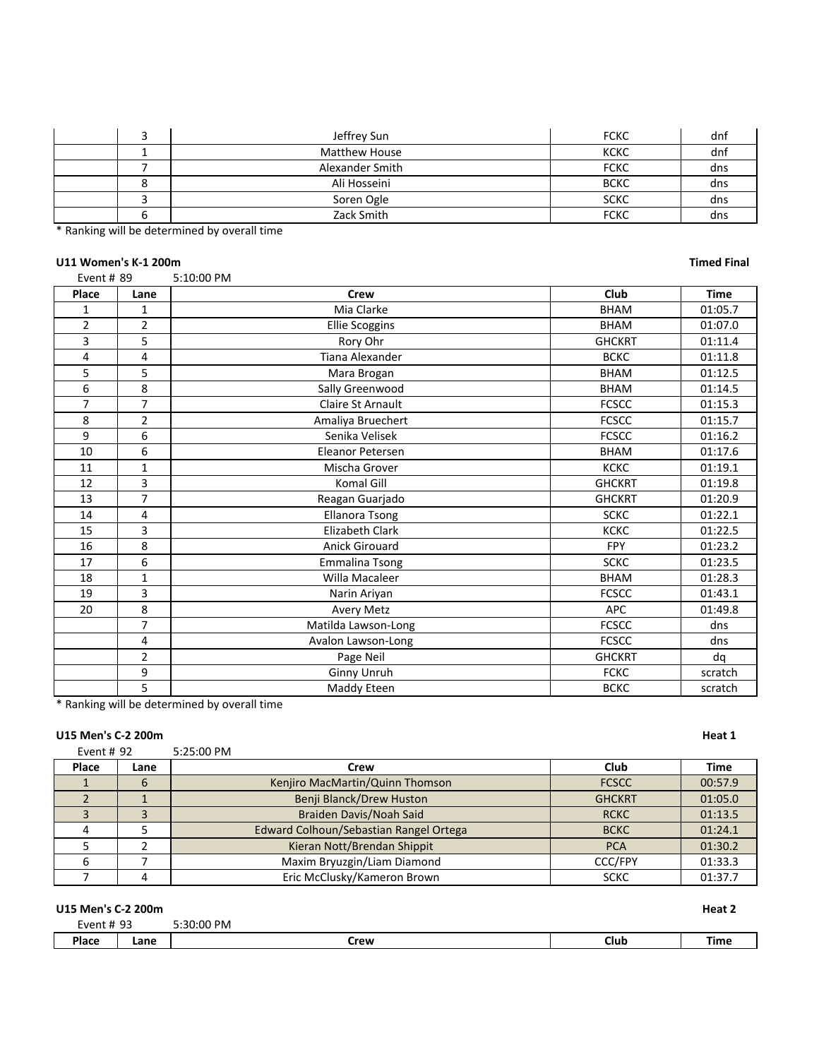|  | Jeffrey Sun          | <b>FCKC</b> | dnf |
|--|----------------------|-------------|-----|
|  | <b>Matthew House</b> | KCKC        | dnf |
|  | Alexander Smith      | <b>FCKC</b> | dns |
|  | Ali Hosseini         | <b>BCKC</b> | dns |
|  | Soren Ogle           | <b>SCKC</b> | dns |
|  | Zack Smith           | <b>FCKC</b> | dns |

\* Ranking will be determined by overall time

# U11 Women's K-1 200m **Timed Final**

| Event # 89     |                | 5:10:00 PM              |               |             |
|----------------|----------------|-------------------------|---------------|-------------|
| Place          | Lane           | <b>Crew</b>             | Club          | <b>Time</b> |
| $\mathbf{1}$   | $\mathbf{1}$   | Mia Clarke              | <b>BHAM</b>   | 01:05.7     |
| $\overline{2}$ | $\overline{2}$ | <b>Ellie Scoggins</b>   | <b>BHAM</b>   | 01:07.0     |
| 3              | 5              | Rory Ohr                | <b>GHCKRT</b> | 01:11.4     |
| 4              | 4              | Tiana Alexander         | <b>BCKC</b>   | 01:11.8     |
| 5              | 5              | Mara Brogan             | <b>BHAM</b>   | 01:12.5     |
| 6              | 8              | Sally Greenwood         | <b>BHAM</b>   | 01:14.5     |
| 7              | $\overline{7}$ | Claire St Arnault       | <b>FCSCC</b>  | 01:15.3     |
| 8              | $\overline{2}$ | Amaliya Bruechert       | <b>FCSCC</b>  | 01:15.7     |
| 9              | 6              | Senika Velisek          | <b>FCSCC</b>  | 01:16.2     |
| 10             | 6              | <b>Eleanor Petersen</b> | <b>BHAM</b>   | 01:17.6     |
| 11             | $\mathbf{1}$   | Mischa Grover           | <b>KCKC</b>   | 01:19.1     |
| 12             | 3              | Komal Gill              | <b>GHCKRT</b> | 01:19.8     |
| 13             | $\overline{7}$ | Reagan Guarjado         | <b>GHCKRT</b> | 01:20.9     |
| 14             | 4              | <b>Ellanora Tsong</b>   | <b>SCKC</b>   | 01:22.1     |
| 15             | 3              | <b>Elizabeth Clark</b>  | <b>KCKC</b>   | 01:22.5     |
| 16             | 8              | <b>Anick Girouard</b>   | <b>FPY</b>    | 01:23.2     |
| 17             | 6              | <b>Emmalina Tsong</b>   | <b>SCKC</b>   | 01:23.5     |
| 18             | $\mathbf{1}$   | Willa Macaleer          | <b>BHAM</b>   | 01:28.3     |
| 19             | 3              | Narin Ariyan            | <b>FCSCC</b>  | 01:43.1     |
| 20             | 8              | <b>Avery Metz</b>       | <b>APC</b>    | 01:49.8     |
|                | $\overline{7}$ | Matilda Lawson-Long     | <b>FCSCC</b>  | dns         |
|                | 4              | Avalon Lawson-Long      | <b>FCSCC</b>  | dns         |
|                | $\overline{2}$ | Page Neil               | <b>GHCKRT</b> | da          |
|                | 9              | Ginny Unruh             | <b>FCKC</b>   | scratch     |
|                | 5              | Maddy Eteen             | <b>BCKC</b>   | scratch     |

\* Ranking will be determined by overall time

### **U15 Men's C-2 200m Heat 1**

| Event # 92 |      | 5:25:00 PM                             |                |             |
|------------|------|----------------------------------------|----------------|-------------|
| Place      | Lane | Crew                                   | Club           | <b>Time</b> |
|            | b    | Kenjiro MacMartin/Quinn Thomson        | <b>FCSCC</b>   | 00:57.9     |
|            |      | Benji Blanck/Drew Huston               | <b>GHCKRT</b>  | 01:05.0     |
|            |      | Braiden Davis/Noah Said                | <b>RCKC</b>    | 01:13.5     |
|            |      | Edward Colhoun/Sebastian Rangel Ortega | <b>BCKC</b>    | 01:24.1     |
|            |      | Kieran Nott/Brendan Shippit            | <b>PCA</b>     | 01:30.2     |
| 6          |      | Maxim Bryuzgin/Liam Diamond            | <b>CCC/FPY</b> | 01:33.3     |
|            |      | Eric McClusky/Kameron Brown            | <b>SCKC</b>    | 01:37.7     |

| U15 Men's C-2 200m |      |            |      |      |
|--------------------|------|------------|------|------|
| Event # 93         |      | 5:30:00 PM |      |      |
| Place              | Lane | Crew       | Club | Time |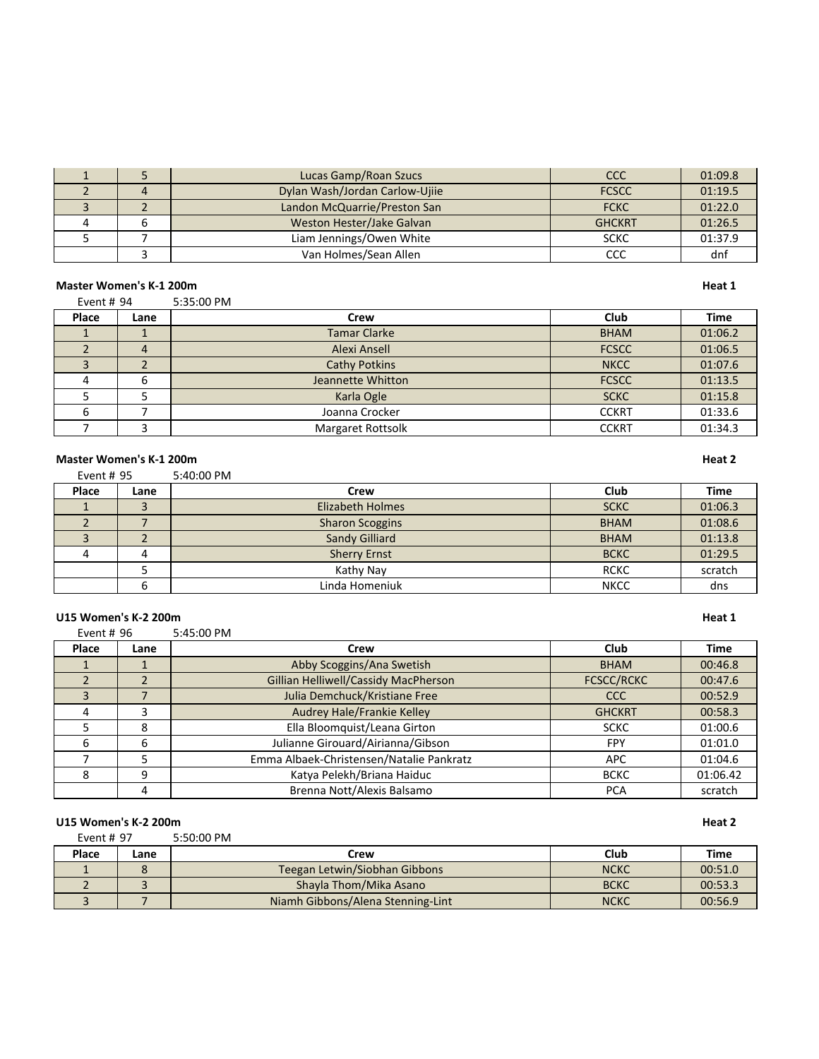|  | Lucas Gamp/Roan Szucs          | <b>CCC</b>    | 01:09.8 |
|--|--------------------------------|---------------|---------|
|  | Dylan Wash/Jordan Carlow-Ujiie | <b>FCSCC</b>  | 01:19.5 |
|  | Landon McQuarrie/Preston San   | <b>FCKC</b>   | 01:22.0 |
|  | Weston Hester/Jake Galvan      | <b>GHCKRT</b> | 01:26.5 |
|  | Liam Jennings/Owen White       | <b>SCKC</b>   | 01:37.9 |
|  | Van Holmes/Sean Allen          | CCC           | dnf     |

Л

**Master Women's K-1 200m Heat 1**<br> **Event # 94** 5:35:00 PM Event # 5:35:00 PM

| Place | Lane | Crew                 | Club         | <b>Time</b> |
|-------|------|----------------------|--------------|-------------|
|       |      | <b>Tamar Clarke</b>  | <b>BHAM</b>  | 01:06.2     |
|       |      | Alexi Ansell         | <b>FCSCC</b> | 01:06.5     |
|       |      | <b>Cathy Potkins</b> | <b>NKCC</b>  | 01:07.6     |
|       | b    | Jeannette Whitton    | <b>FCSCC</b> | 01:13.5     |
|       |      | Karla Ogle           | <b>SCKC</b>  | 01:15.8     |
|       |      | Joanna Crocker       | <b>CCKRT</b> | 01:33.6     |
|       |      | Margaret Rottsolk    | <b>CCKRT</b> | 01:34.3     |

### **Master Women's K-1 200m Heat 2**

Event # 95 5:40:00 PM

| Place | Lane | Crew                    | Club        | <b>Time</b> |
|-------|------|-------------------------|-------------|-------------|
|       |      | <b>Elizabeth Holmes</b> | <b>SCKC</b> | 01:06.3     |
|       |      | <b>Sharon Scoggins</b>  | <b>BHAM</b> | 01:08.6     |
|       |      | Sandy Gilliard          | <b>BHAM</b> | 01:13.8     |
|       |      | <b>Sherry Ernst</b>     | <b>BCKC</b> | 01:29.5     |
|       |      | Kathy Nay               | <b>RCKC</b> | scratch     |
|       |      | Linda Homeniuk          | <b>NKCC</b> | dns         |

### **U15** Women's K-2 200m **Heat 1**

Event # 96 5:45:00 PM

| Place | Lane | Crew                                     | Club              | <b>Time</b> |
|-------|------|------------------------------------------|-------------------|-------------|
|       |      | Abby Scoggins/Ana Swetish                | <b>BHAM</b>       | 00:46.8     |
|       |      | Gillian Helliwell/Cassidy MacPherson     | <b>FCSCC/RCKC</b> | 00:47.6     |
|       |      | Julia Demchuck/Kristiane Free            | CCC               | 00:52.9     |
| 4     | 3    | Audrey Hale/Frankie Kelley               | <b>GHCKRT</b>     | 00:58.3     |
|       | 8    | Ella Bloomquist/Leana Girton             | <b>SCKC</b>       | 01:00.6     |
| 6     | 6    | Julianne Girouard/Airianna/Gibson        | <b>FPY</b>        | 01:01.0     |
|       |      | Emma Albaek-Christensen/Natalie Pankratz | <b>APC</b>        | 01:04.6     |
| 8     | 9    | Katya Pelekh/Briana Haiduc               | <b>BCKC</b>       | 01:06.42    |
|       | 4    | Brenna Nott/Alexis Balsamo               | <b>PCA</b>        | scratch     |

### **U15** Women's K-2 200m **Heat 2**

Event # 97 5:50:00 PM

| Place | Lane | Crew                              | Club        | Time    |
|-------|------|-----------------------------------|-------------|---------|
|       |      | Teegan Letwin/Siobhan Gibbons     | <b>NCKC</b> | 00:51.0 |
|       |      | Shayla Thom/Mika Asano            | <b>BCKC</b> | 00:53.3 |
|       |      | Niamh Gibbons/Alena Stenning-Lint | <b>NCKC</b> | 00:56.9 |

┑